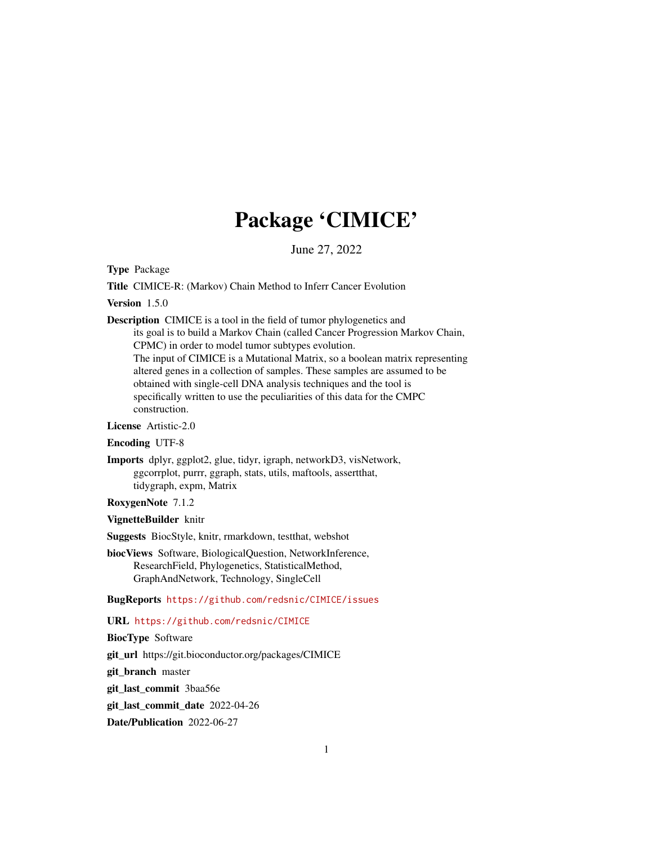## Package 'CIMICE'

June 27, 2022

Type Package

Title CIMICE-R: (Markov) Chain Method to Inferr Cancer Evolution

Version 1.5.0

Description CIMICE is a tool in the field of tumor phylogenetics and its goal is to build a Markov Chain (called Cancer Progression Markov Chain, CPMC) in order to model tumor subtypes evolution. The input of CIMICE is a Mutational Matrix, so a boolean matrix representing altered genes in a collection of samples. These samples are assumed to be obtained with single-cell DNA analysis techniques and the tool is specifically written to use the peculiarities of this data for the CMPC construction.

License Artistic-2.0

Encoding UTF-8

Imports dplyr, ggplot2, glue, tidyr, igraph, networkD3, visNetwork, ggcorrplot, purrr, ggraph, stats, utils, maftools, assertthat, tidygraph, expm, Matrix

RoxygenNote 7.1.2

VignetteBuilder knitr

Suggests BiocStyle, knitr, rmarkdown, testthat, webshot

biocViews Software, BiologicalQuestion, NetworkInference, ResearchField, Phylogenetics, StatisticalMethod, GraphAndNetwork, Technology, SingleCell

BugReports <https://github.com/redsnic/CIMICE/issues>

URL <https://github.com/redsnic/CIMICE>

BiocType Software

git\_url https://git.bioconductor.org/packages/CIMICE

git\_branch master

git\_last\_commit 3baa56e

git last commit date 2022-04-26

Date/Publication 2022-06-27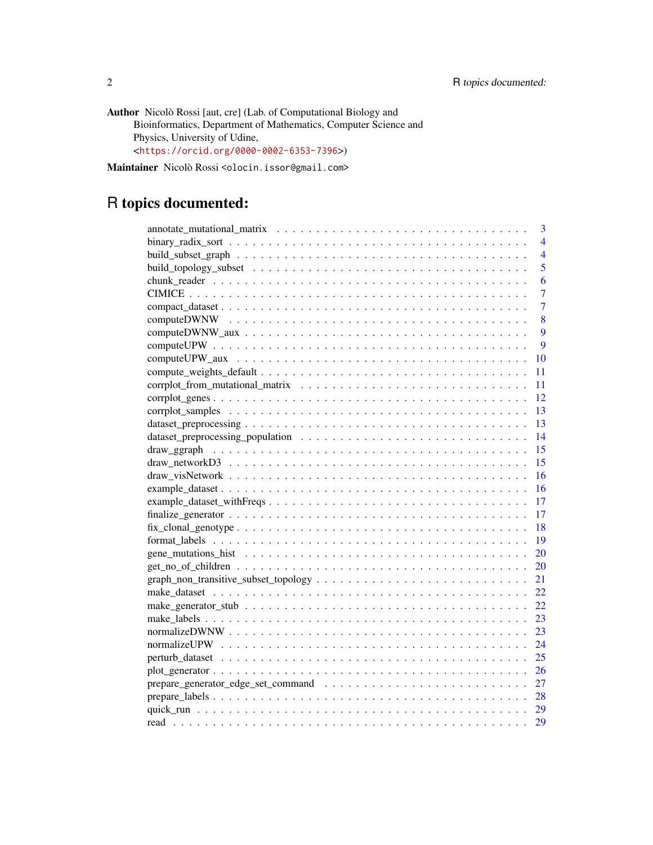Author Nicolò Rossi [aut, cre] (Lab. of Computational Biology and Bioinformatics, Department of Mathematics, Computer Science and Physics, University of Udine, <<https://orcid.org/0000-0002-6353-7396>>)

Maintainer Nicolò Rossi <olocin.issor@gmail.com>

## R topics documented:

| $\overline{4}$ |
|----------------|
| $\overline{4}$ |
| 5              |
| 6              |
| $\overline{7}$ |
| $\overline{7}$ |
| 8              |
| 9              |
| $\overline{Q}$ |
| <b>10</b>      |
| 11             |
| 11             |
| 12             |
| 13             |
| -13            |
|                |
|                |
| -15            |
|                |
|                |
|                |
| -17            |
| 18             |
| 19             |
| 20             |
| 20             |
| 21             |
| 22             |
| 22             |
| 23             |
| 23             |
| 24             |
|                |
| 26             |
|                |
|                |
|                |
|                |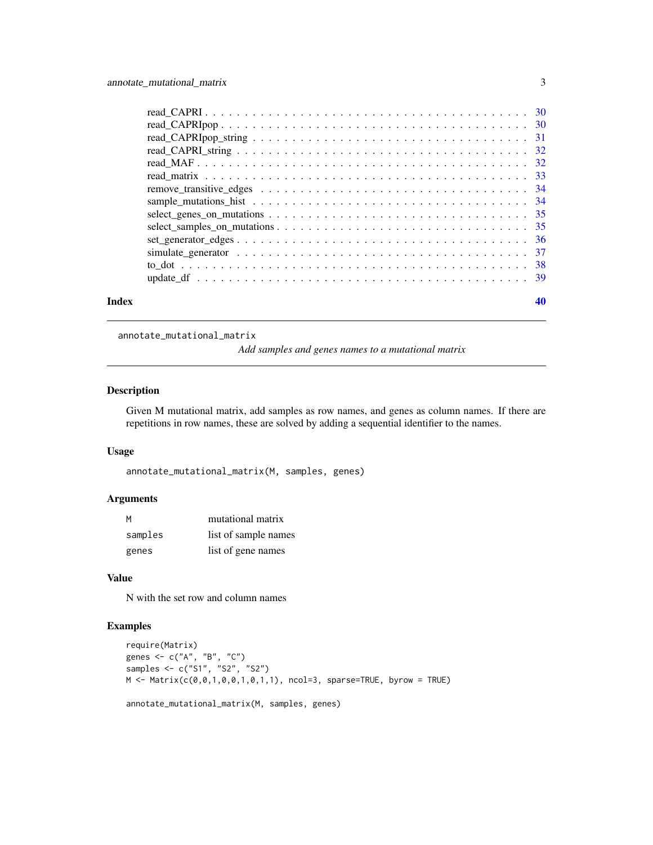<span id="page-2-0"></span>

| Index |                                                                                                                       |  |
|-------|-----------------------------------------------------------------------------------------------------------------------|--|
|       |                                                                                                                       |  |
|       |                                                                                                                       |  |
|       |                                                                                                                       |  |
|       | $set\_generator\_edges \ldots \ldots \ldots \ldots \ldots \ldots \ldots \ldots \ldots \ldots \ldots \ldots \ldots 36$ |  |
|       |                                                                                                                       |  |
|       |                                                                                                                       |  |
|       |                                                                                                                       |  |
|       |                                                                                                                       |  |
|       |                                                                                                                       |  |
|       |                                                                                                                       |  |
|       |                                                                                                                       |  |
|       |                                                                                                                       |  |
|       |                                                                                                                       |  |
|       |                                                                                                                       |  |
|       |                                                                                                                       |  |

annotate\_mutational\_matrix

*Add samples and genes names to a mutational matrix*

### Description

Given M mutational matrix, add samples as row names, and genes as column names. If there are repetitions in row names, these are solved by adding a sequential identifier to the names.

### Usage

```
annotate_mutational_matrix(M, samples, genes)
```
#### Arguments

| M       | mutational matrix    |
|---------|----------------------|
| samples | list of sample names |
| genes   | list of gene names   |

#### Value

N with the set row and column names

```
require(Matrix)
genes <- c("A", "B", "C")
samples <- c("S1", "S2", "S2")
M \leftarrow Matrix(c(0,0,1,0,0,1,0,1,1), ncol=3, sparse=TRUE, byrow = TRUE)
```

```
annotate_mutational_matrix(M, samples, genes)
```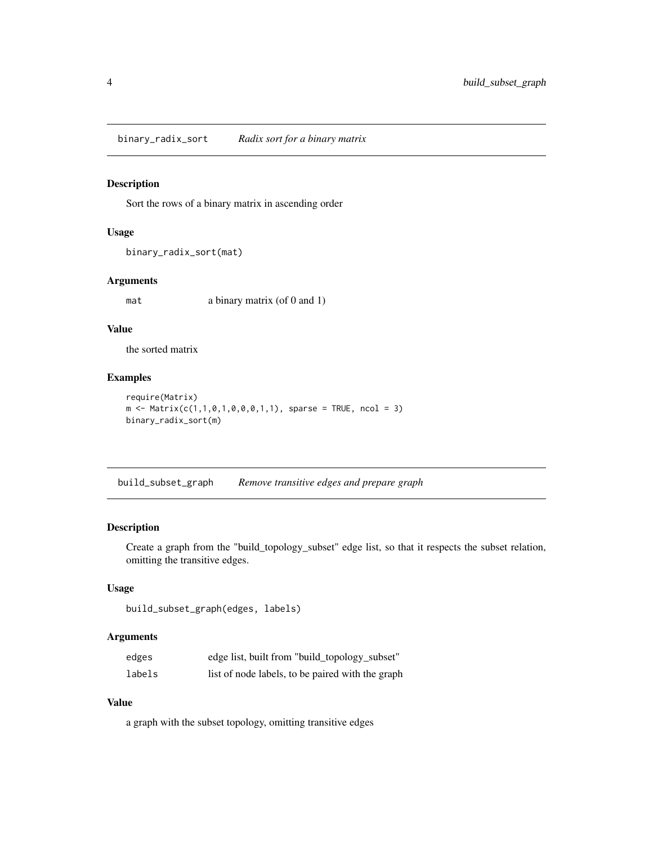<span id="page-3-0"></span>binary\_radix\_sort *Radix sort for a binary matrix*

### Description

Sort the rows of a binary matrix in ascending order

#### Usage

```
binary_radix_sort(mat)
```
### Arguments

mat a binary matrix (of 0 and 1)

### Value

the sorted matrix

#### Examples

```
require(Matrix)
m \le - Matrix(c(1,1,0,1,0,0,0,1,1), sparse = TRUE, ncol = 3)
binary_radix_sort(m)
```
build\_subset\_graph *Remove transitive edges and prepare graph*

### Description

Create a graph from the "build\_topology\_subset" edge list, so that it respects the subset relation, omitting the transitive edges.

#### Usage

```
build_subset_graph(edges, labels)
```
#### Arguments

| edges  | edge list, built from "build_topology_subset"    |
|--------|--------------------------------------------------|
| labels | list of node labels, to be paired with the graph |

### Value

a graph with the subset topology, omitting transitive edges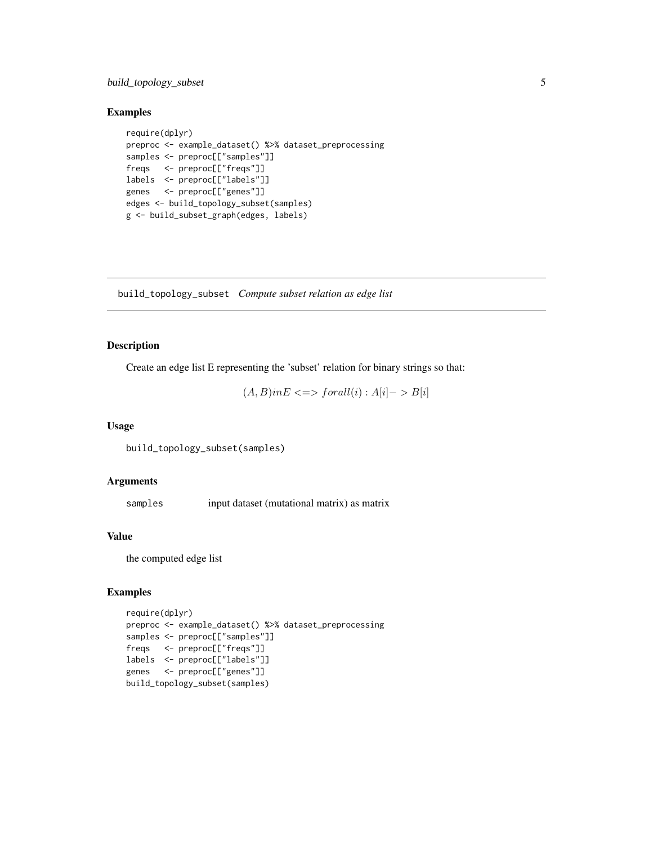### <span id="page-4-0"></span>build\_topology\_subset 5

### Examples

```
require(dplyr)
preproc <- example_dataset() %>% dataset_preprocessing
samples <- preproc[["samples"]]
freqs <- preproc[["freqs"]]
labels <- preproc[["labels"]]
genes <- preproc[["genes"]]
edges <- build_topology_subset(samples)
g <- build_subset_graph(edges, labels)
```
build\_topology\_subset *Compute subset relation as edge list*

### Description

Create an edge list E representing the 'subset' relation for binary strings so that:

$$
(A, B) \text{in} E \leq \gt{small(i) : A[i] \geq B[i]}
$$

#### Usage

build\_topology\_subset(samples)

### Arguments

samples input dataset (mutational matrix) as matrix

#### Value

the computed edge list

```
require(dplyr)
preproc <- example_dataset() %>% dataset_preprocessing
samples <- preproc[["samples"]]
freqs <- preproc[["freqs"]]
labels <- preproc[["labels"]]
genes <- preproc[["genes"]]
build_topology_subset(samples)
```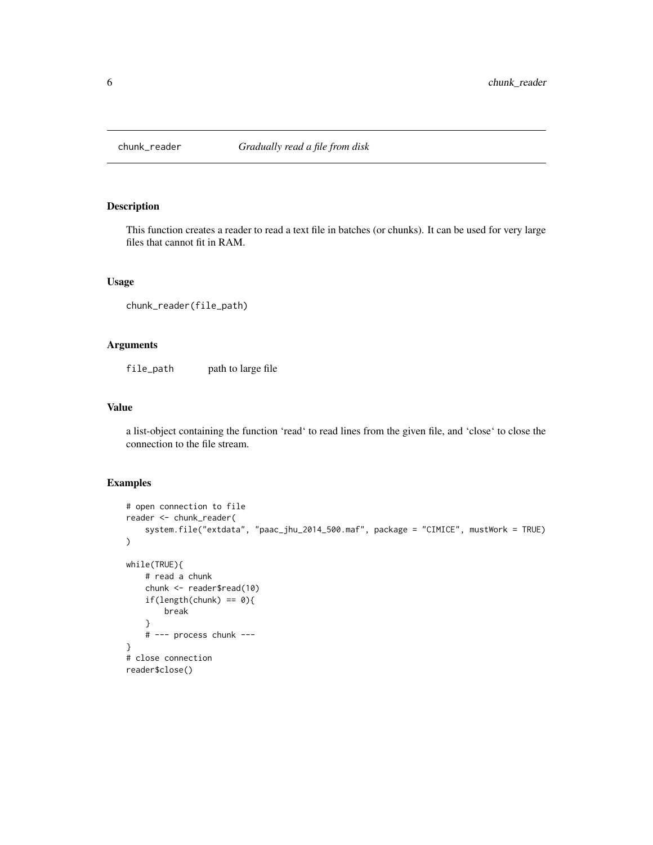<span id="page-5-0"></span>

#### Description

This function creates a reader to read a text file in batches (or chunks). It can be used for very large files that cannot fit in RAM.

#### Usage

```
chunk_reader(file_path)
```
#### Arguments

file\_path path to large file

#### Value

a list-object containing the function 'read' to read lines from the given file, and 'close' to close the connection to the file stream.

```
# open connection to file
reader <- chunk_reader(
   system.file("extdata", "paac_jhu_2014_500.maf", package = "CIMICE", mustWork = TRUE)
\mathcal{L}while(TRUE){
   # read a chunk
    chunk <- reader$read(10)
    if(length(chunk) == 0){
        break
    }
    # --- process chunk ---
}
# close connection
reader$close()
```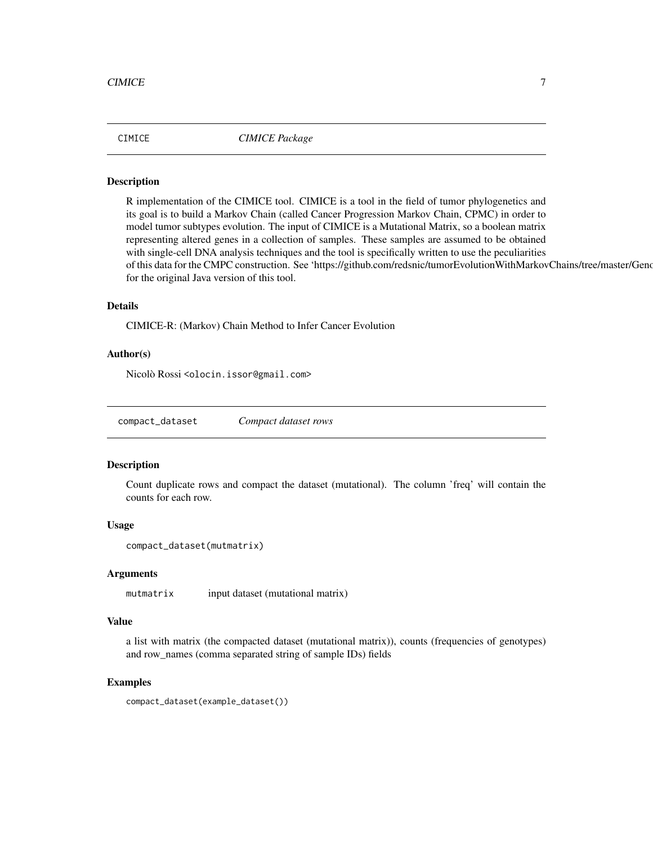<span id="page-6-0"></span>CIMICE *CIMICE Package*

#### Description

R implementation of the CIMICE tool. CIMICE is a tool in the field of tumor phylogenetics and its goal is to build a Markov Chain (called Cancer Progression Markov Chain, CPMC) in order to model tumor subtypes evolution. The input of CIMICE is a Mutational Matrix, so a boolean matrix representing altered genes in a collection of samples. These samples are assumed to be obtained with single-cell DNA analysis techniques and the tool is specifically written to use the peculiarities of this data for the CMPC construction. See 'https://github.com/redsnic/tumorEvolutionWithMarkovChains/tree/master/Geno for the original Java version of this tool.

### Details

CIMICE-R: (Markov) Chain Method to Infer Cancer Evolution

#### Author(s)

Nicolò Rossi <olocin.issor@gmail.com>

compact\_dataset *Compact dataset rows*

#### **Description**

Count duplicate rows and compact the dataset (mutational). The column 'freq' will contain the counts for each row.

#### Usage

```
compact_dataset(mutmatrix)
```
#### Arguments

mutmatrix input dataset (mutational matrix)

#### Value

a list with matrix (the compacted dataset (mutational matrix)), counts (frequencies of genotypes) and row\_names (comma separated string of sample IDs) fields

#### Examples

compact\_dataset(example\_dataset())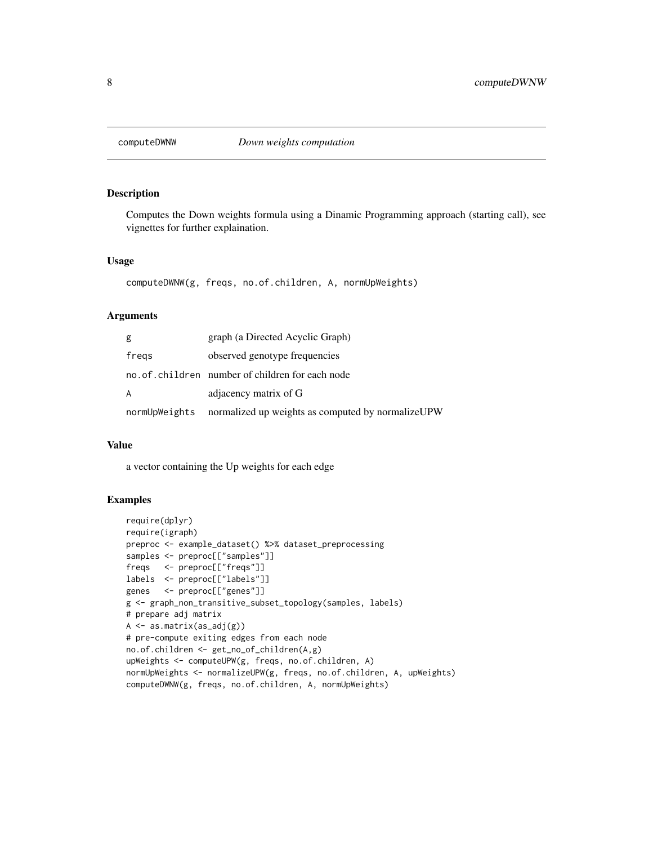<span id="page-7-0"></span>

#### Description

Computes the Down weights formula using a Dinamic Programming approach (starting call), see vignettes for further explaination.

#### Usage

```
computeDWNW(g, freqs, no.of.children, A, normUpWeights)
```
#### Arguments

| g             | graph (a Directed Acyclic Graph)                  |
|---------------|---------------------------------------------------|
| fregs         | observed genotype frequencies                     |
|               | no.of.children number of children for each node   |
| A             | adjacency matrix of G                             |
| normUpWeights | normalized up weights as computed by normalizeUPW |

#### Value

a vector containing the Up weights for each edge

```
require(dplyr)
require(igraph)
preproc <- example_dataset() %>% dataset_preprocessing
samples <- preproc[["samples"]]
freqs <- preproc[["freqs"]]
labels <- preproc[["labels"]]
genes <- preproc[["genes"]]
g <- graph_non_transitive_subset_topology(samples, labels)
# prepare adj matrix
A \leftarrow as.matrix(as_adj(g))# pre-compute exiting edges from each node
no.of.children <- get_no_of_children(A,g)
upWeights <- computeUPW(g, freqs, no.of.children, A)
normUpWeights <- normalizeUPW(g, freqs, no.of.children, A, upWeights)
computeDWNW(g, freqs, no.of.children, A, normUpWeights)
```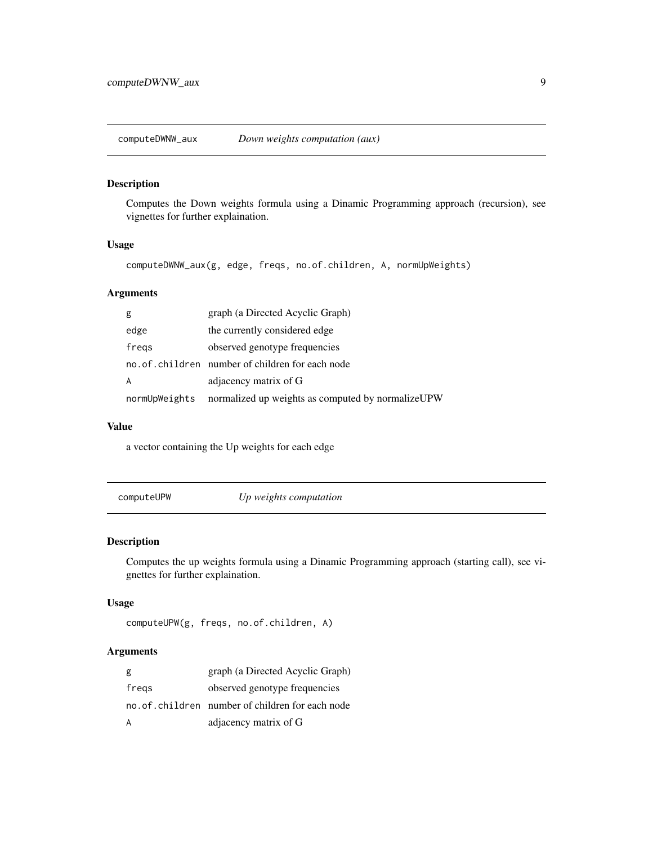<span id="page-8-0"></span>computeDWNW\_aux *Down weights computation (aux)*

### Description

Computes the Down weights formula using a Dinamic Programming approach (recursion), see vignettes for further explaination.

#### Usage

computeDWNW\_aux(g, edge, freqs, no.of.children, A, normUpWeights)

### Arguments

| g             | graph (a Directed Acyclic Graph)                  |
|---------------|---------------------------------------------------|
| edge          | the currently considered edge                     |
| fregs         | observed genotype frequencies                     |
|               | no. of children number of children for each node  |
| A             | adjacency matrix of G                             |
| normUpWeights | normalized up weights as computed by normalizeUPW |

#### Value

a vector containing the Up weights for each edge

computeUPW *Up weights computation*

### Description

Computes the up weights formula using a Dinamic Programming approach (starting call), see vignettes for further explaination.

#### Usage

```
computeUPW(g, freqs, no.of.children, A)
```
### Arguments

| g     | graph (a Directed Acyclic Graph)                |
|-------|-------------------------------------------------|
| fregs | observed genotype frequencies                   |
|       | no.of.children number of children for each node |
|       | adjacency matrix of G                           |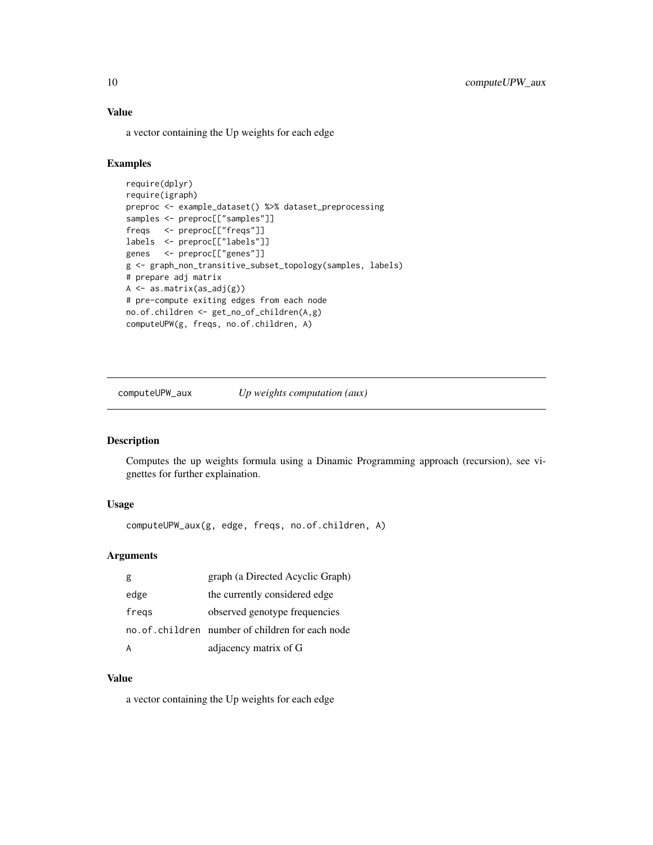### Value

a vector containing the Up weights for each edge

### Examples

```
require(dplyr)
require(igraph)
preproc <- example_dataset() %>% dataset_preprocessing
samples <- preproc[["samples"]]
freqs <- preproc[["freqs"]]
labels <- preproc[["labels"]]
genes <- preproc[["genes"]]
g <- graph_non_transitive_subset_topology(samples, labels)
# prepare adj matrix
A <- as.matrix(as_adj(g))
# pre-compute exiting edges from each node
no.of.children <- get_no_of_children(A,g)
computeUPW(g, freqs, no.of.children, A)
```
computeUPW\_aux *Up weights computation (aux)*

#### Description

Computes the up weights formula using a Dinamic Programming approach (recursion), see vignettes for further explaination.

### Usage

computeUPW\_aux(g, edge, freqs, no.of.children, A)

#### Arguments

| g     | graph (a Directed Acyclic Graph)                |
|-------|-------------------------------------------------|
| edge  | the currently considered edge                   |
| fregs | observed genotype frequencies                   |
|       | no.of.children number of children for each node |
| A     | adjacency matrix of G                           |

#### Value

a vector containing the Up weights for each edge

<span id="page-9-0"></span>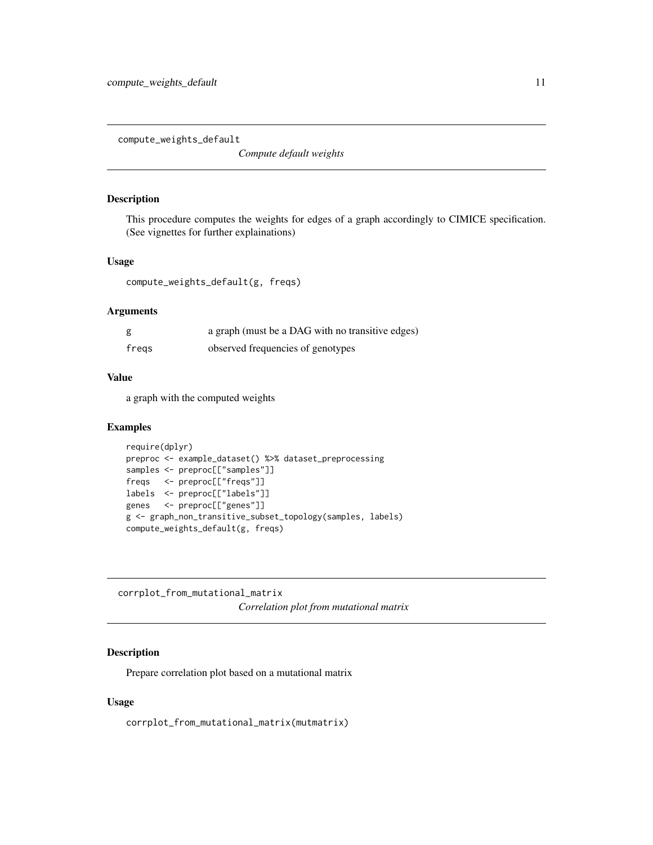<span id="page-10-0"></span>compute\_weights\_default

*Compute default weights*

#### Description

This procedure computes the weights for edges of a graph accordingly to CIMICE specification. (See vignettes for further explainations)

#### Usage

compute\_weights\_default(g, freqs)

### Arguments

| g     | a graph (must be a DAG with no transitive edges) |
|-------|--------------------------------------------------|
| fregs | observed frequencies of genotypes                |

#### Value

a graph with the computed weights

#### Examples

```
require(dplyr)
preproc <- example_dataset() %>% dataset_preprocessing
samples <- preproc[["samples"]]
freqs <- preproc[["freqs"]]
labels <- preproc[["labels"]]
genes <- preproc[["genes"]]
g <- graph_non_transitive_subset_topology(samples, labels)
compute_weights_default(g, freqs)
```
corrplot\_from\_mutational\_matrix

*Correlation plot from mutational matrix*

#### Description

Prepare correlation plot based on a mutational matrix

#### Usage

corrplot\_from\_mutational\_matrix(mutmatrix)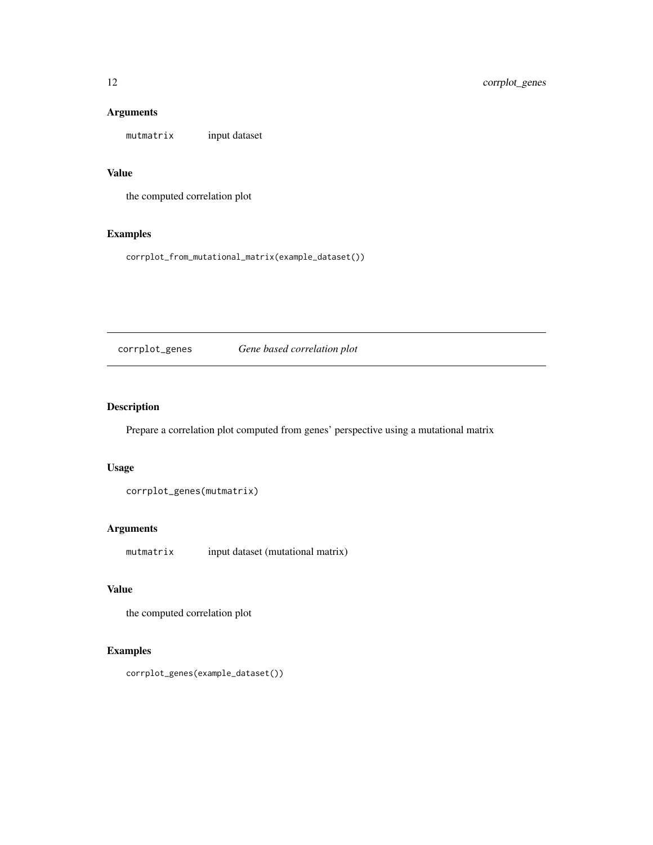### Arguments

mutmatrix input dataset

### Value

the computed correlation plot

### Examples

corrplot\_from\_mutational\_matrix(example\_dataset())

corrplot\_genes *Gene based correlation plot*

### Description

Prepare a correlation plot computed from genes' perspective using a mutational matrix

#### Usage

corrplot\_genes(mutmatrix)

### Arguments

mutmatrix input dataset (mutational matrix)

### Value

the computed correlation plot

### Examples

corrplot\_genes(example\_dataset())

<span id="page-11-0"></span>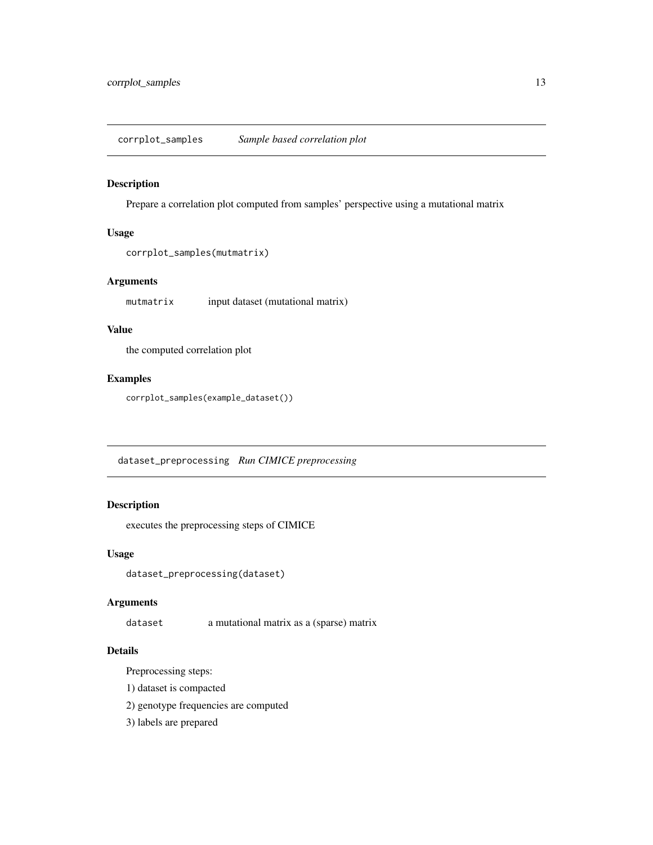<span id="page-12-0"></span>corrplot\_samples *Sample based correlation plot*

#### Description

Prepare a correlation plot computed from samples' perspective using a mutational matrix

#### Usage

```
corrplot_samples(mutmatrix)
```
### Arguments

mutmatrix input dataset (mutational matrix)

### Value

the computed correlation plot

#### Examples

corrplot\_samples(example\_dataset())

dataset\_preprocessing *Run CIMICE preprocessing*

### Description

executes the preprocessing steps of CIMICE

#### Usage

dataset\_preprocessing(dataset)

#### Arguments

dataset a mutational matrix as a (sparse) matrix

### Details

Preprocessing steps:

- 1) dataset is compacted
- 2) genotype frequencies are computed
- 3) labels are prepared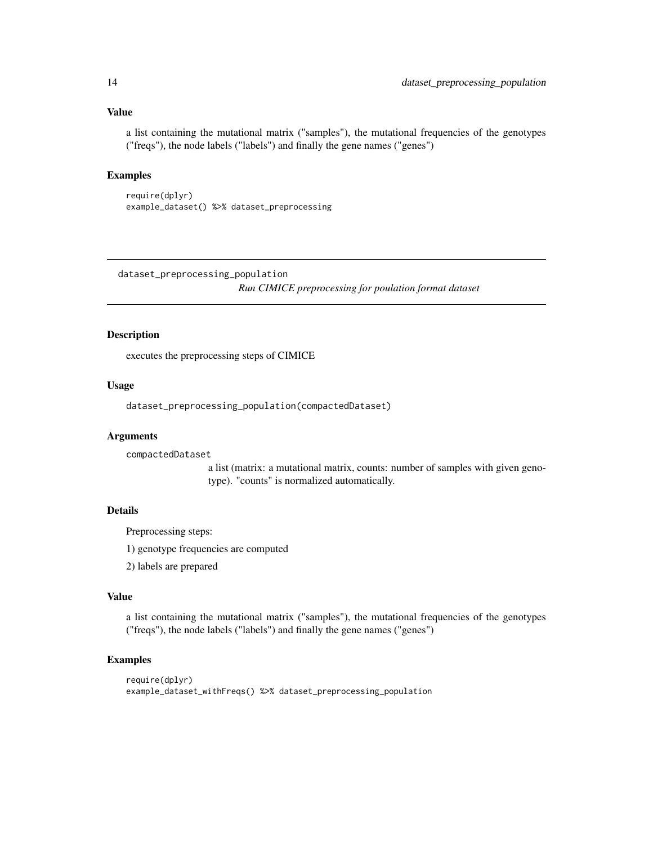#### Value

a list containing the mutational matrix ("samples"), the mutational frequencies of the genotypes ("freqs"), the node labels ("labels") and finally the gene names ("genes")

### Examples

```
require(dplyr)
example_dataset() %>% dataset_preprocessing
```
dataset\_preprocessing\_population

*Run CIMICE preprocessing for poulation format dataset*

### Description

executes the preprocessing steps of CIMICE

#### Usage

dataset\_preprocessing\_population(compactedDataset)

#### Arguments

compactedDataset

a list (matrix: a mutational matrix, counts: number of samples with given genotype). "counts" is normalized automatically.

#### Details

Preprocessing steps:

1) genotype frequencies are computed

2) labels are prepared

#### Value

a list containing the mutational matrix ("samples"), the mutational frequencies of the genotypes ("freqs"), the node labels ("labels") and finally the gene names ("genes")

```
require(dplyr)
example_dataset_withFreqs() %>% dataset_preprocessing_population
```
<span id="page-13-0"></span>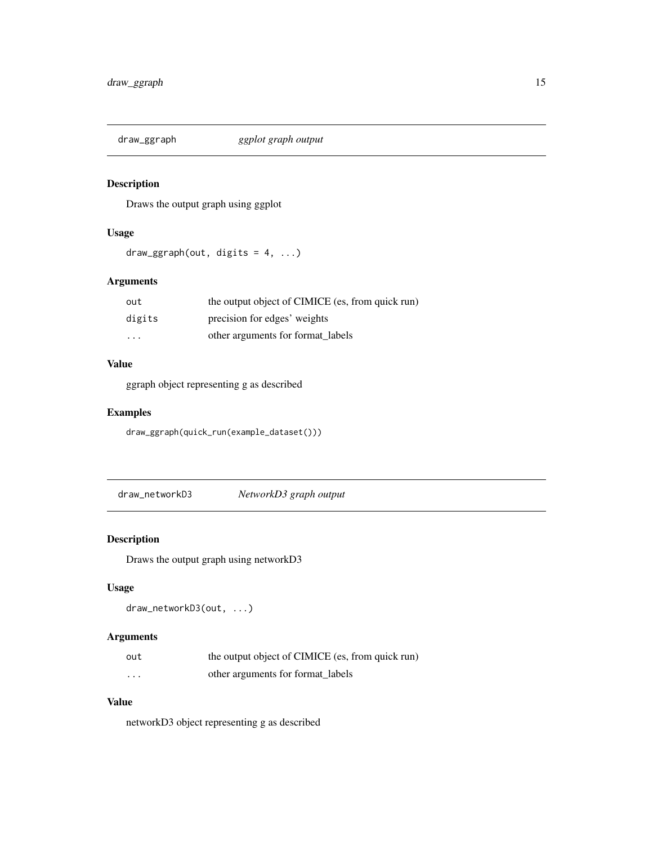<span id="page-14-0"></span>

### Description

Draws the output graph using ggplot

### Usage

 $draw_ggraph(out, digits = 4, ...)$ 

### Arguments

| out      | the output object of CIMICE (es, from quick run) |
|----------|--------------------------------------------------|
| digits   | precision for edges' weights                     |
| $\cdots$ | other arguments for format_labels                |

#### Value

ggraph object representing g as described

### Examples

draw\_ggraph(quick\_run(example\_dataset()))

draw\_networkD3 *NetworkD3 graph output*

### Description

Draws the output graph using networkD3

### Usage

draw\_networkD3(out, ...)

### Arguments

| out                     | the output object of CIMICE (es, from quick run) |
|-------------------------|--------------------------------------------------|
| $\cdot$ $\cdot$ $\cdot$ | other arguments for format labels                |

### Value

networkD3 object representing g as described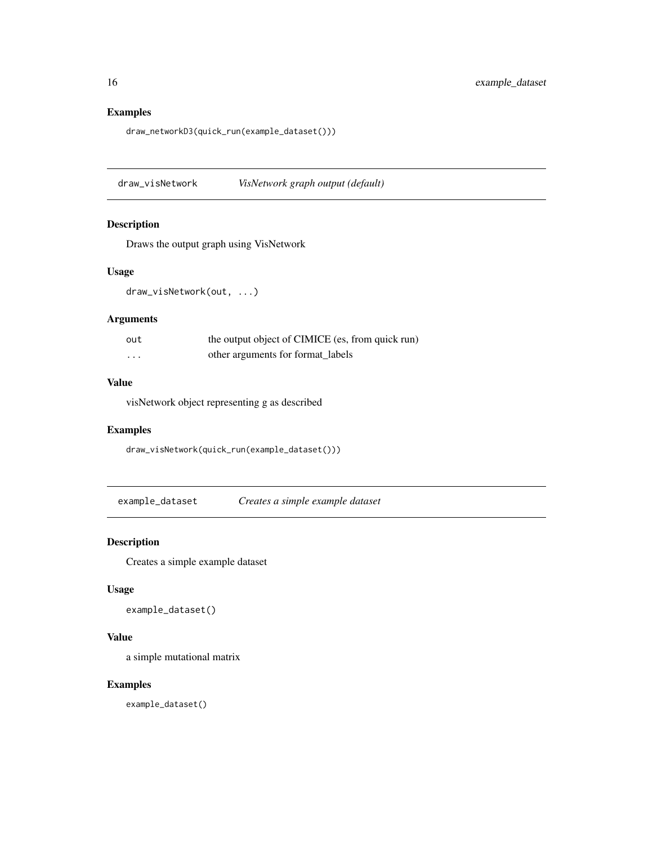draw\_networkD3(quick\_run(example\_dataset()))

draw\_visNetwork *VisNetwork graph output (default)*

#### Description

Draws the output graph using VisNetwork

#### Usage

draw\_visNetwork(out, ...)

### Arguments

| out      | the output object of CIMICE (es, from quick run) |
|----------|--------------------------------------------------|
| $\cdots$ | other arguments for format labels                |

### Value

visNetwork object representing g as described

#### Examples

draw\_visNetwork(quick\_run(example\_dataset()))

example\_dataset *Creates a simple example dataset*

### Description

Creates a simple example dataset

#### Usage

example\_dataset()

### Value

a simple mutational matrix

### Examples

example\_dataset()

<span id="page-15-0"></span>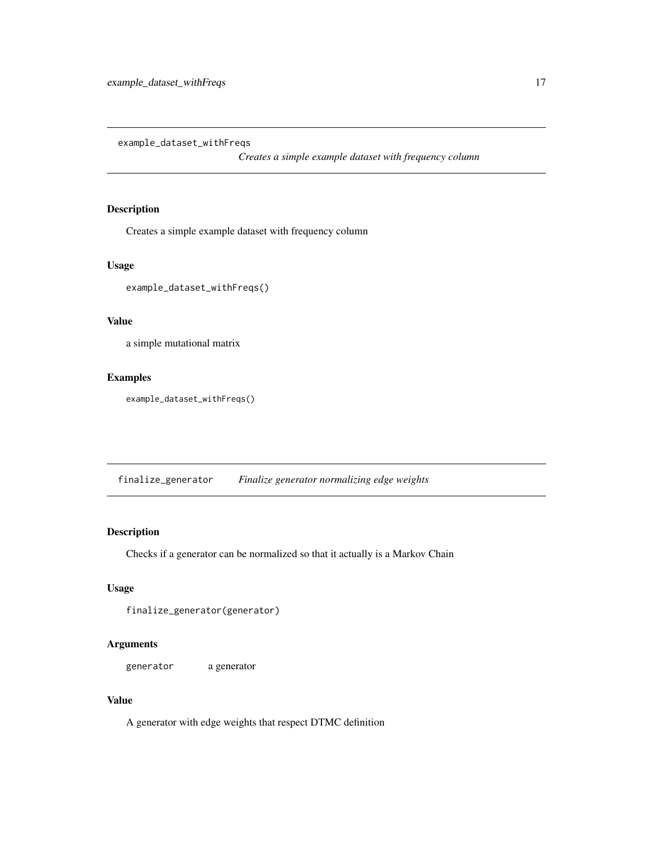<span id="page-16-0"></span>example\_dataset\_withFreqs

*Creates a simple example dataset with frequency column*

### Description

Creates a simple example dataset with frequency column

#### Usage

example\_dataset\_withFreqs()

#### Value

a simple mutational matrix

#### Examples

example\_dataset\_withFreqs()

finalize\_generator *Finalize generator normalizing edge weights*

#### Description

Checks if a generator can be normalized so that it actually is a Markov Chain

#### Usage

```
finalize_generator(generator)
```
#### Arguments

generator a generator

#### Value

A generator with edge weights that respect DTMC definition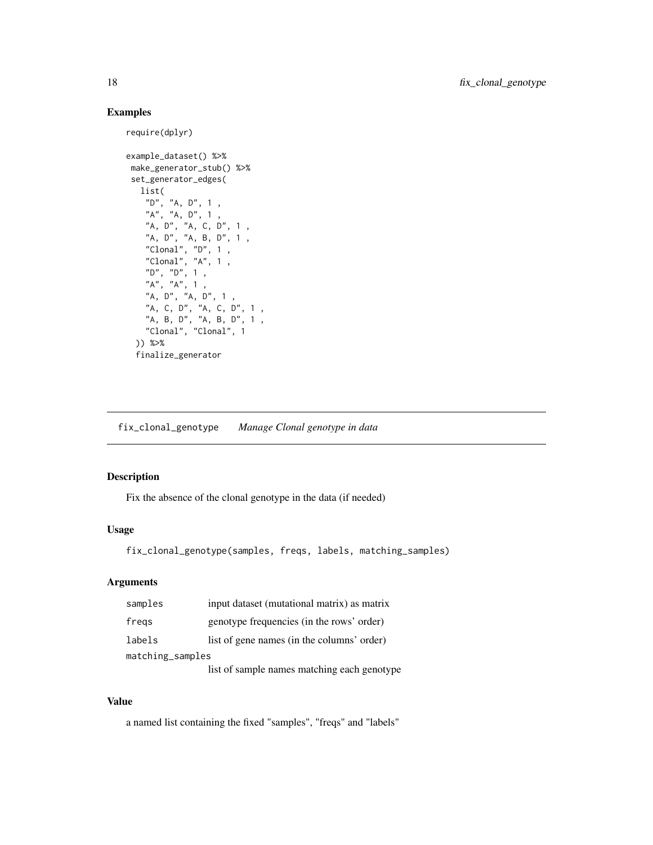```
require(dplyr)
```

```
example_dataset() %>%
make_generator_stub() %>%
set_generator_edges(
  list(
    "D", "A, D", 1 ,
    "A", "A, D", 1 ,
    "A, D", "A, C, D", 1 ,
    "A, D", "A, B, D", 1 ,
    "Clonal", "D", 1 ,
    "Clonal", "A", 1 ,
    "D", "D", 1 ,
    "A", "A", 1 ,
    "A, D", "A, D", 1 ,
    "A, C, D", "A, C, D", 1 ,
    "A, B, D", "A, B, D", 1 ,
    "Clonal", "Clonal", 1
 )) %>%
 finalize_generator
```
fix\_clonal\_genotype *Manage Clonal genotype in data*

#### Description

Fix the absence of the clonal genotype in the data (if needed)

#### Usage

```
fix_clonal_genotype(samples, freqs, labels, matching_samples)
```
#### Arguments

| samples          | input dataset (mutational matrix) as matrix |  |
|------------------|---------------------------------------------|--|
| fregs            | genotype frequencies (in the rows' order)   |  |
| labels           | list of gene names (in the columns' order)  |  |
| matching_samples |                                             |  |
|                  | list of sample names matching each genotype |  |

#### Value

a named list containing the fixed "samples", "freqs" and "labels"

<span id="page-17-0"></span>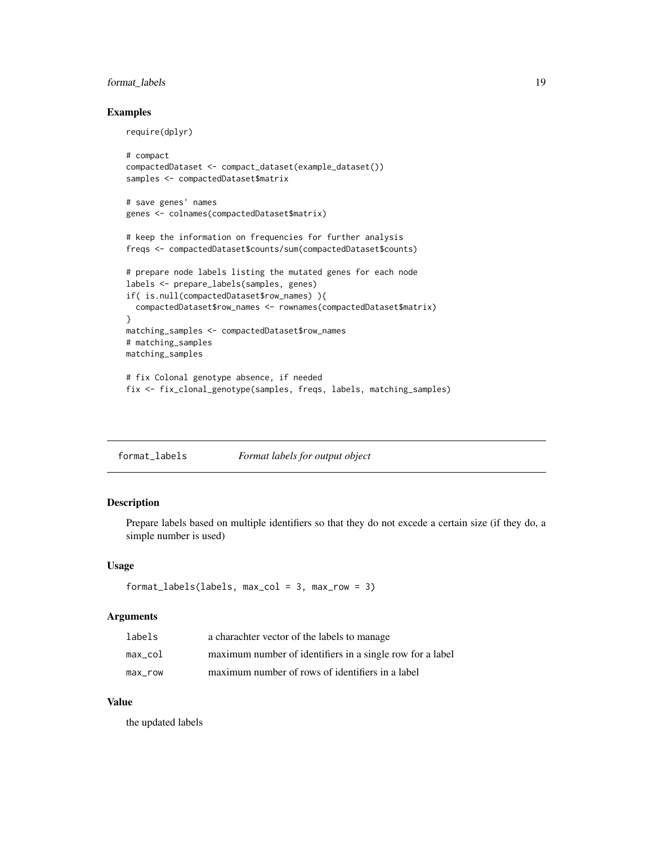### <span id="page-18-0"></span>format\_labels 19

require(dplyr)

#### Examples

```
# compact
compactedDataset <- compact_dataset(example_dataset())
samples <- compactedDataset$matrix
# save genes' names
genes <- colnames(compactedDataset$matrix)
# keep the information on frequencies for further analysis
freqs <- compactedDataset$counts/sum(compactedDataset$counts)
# prepare node labels listing the mutated genes for each node
labels <- prepare_labels(samples, genes)
if( is.null(compactedDataset$row_names) ){
  compactedDataset$row_names <- rownames(compactedDataset$matrix)
}
matching_samples <- compactedDataset$row_names
# matching_samples
matching_samples
# fix Colonal genotype absence, if needed
```
fix <- fix\_clonal\_genotype(samples, freqs, labels, matching\_samples)

| format_labels | Format labels for output object |  |  |
|---------------|---------------------------------|--|--|
|               |                                 |  |  |

### Description

Prepare labels based on multiple identifiers so that they do not excede a certain size (if they do, a simple number is used)

#### Usage

```
format_labels(labels, max_col = 3, max_row = 3)
```
#### Arguments

| labels  | a charachter vector of the labels to manage               |
|---------|-----------------------------------------------------------|
| max col | maximum number of identifiers in a single row for a label |
| max row | maximum number of rows of identifiers in a label          |

#### Value

the updated labels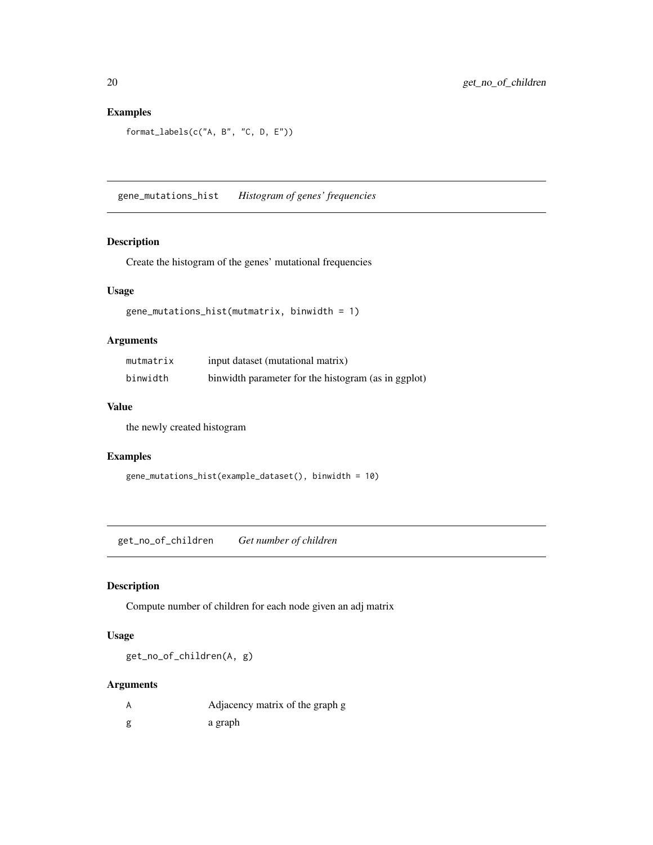```
format_labels(c("A, B", "C, D, E"))
```
gene\_mutations\_hist *Histogram of genes' frequencies*

### Description

Create the histogram of the genes' mutational frequencies

#### Usage

```
gene_mutations_hist(mutmatrix, binwidth = 1)
```
### Arguments

| mutmatrix | input dataset (mutational matrix)                   |
|-----------|-----------------------------------------------------|
| binwidth  | binwidth parameter for the histogram (as in ggplot) |

### Value

the newly created histogram

### Examples

```
gene_mutations_hist(example_dataset(), binwidth = 10)
```
get\_no\_of\_children *Get number of children*

### Description

Compute number of children for each node given an adj matrix

#### Usage

get\_no\_of\_children(A, g)

### Arguments

| Adjacency matrix of the graph g |
|---------------------------------|
| a graph                         |

<span id="page-19-0"></span>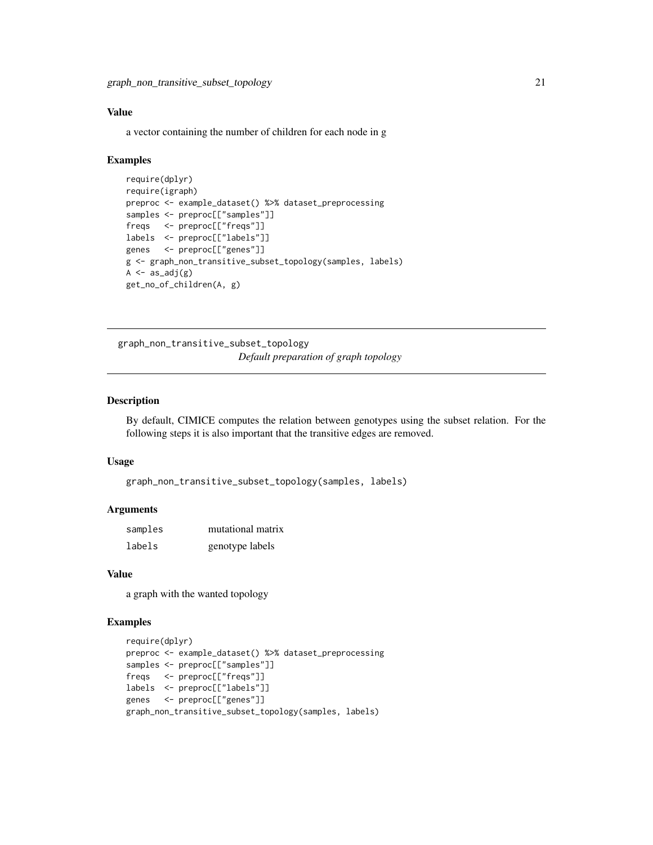#### <span id="page-20-0"></span>Value

a vector containing the number of children for each node in g

#### Examples

```
require(dplyr)
require(igraph)
preproc <- example_dataset() %>% dataset_preprocessing
samples <- preproc[["samples"]]
freqs <- preproc[["freqs"]]
labels <- preproc[["labels"]]
genes <- preproc[["genes"]]
g <- graph_non_transitive_subset_topology(samples, labels)
A \leftarrow as\_adj(g)get_no_of_children(A, g)
```
graph\_non\_transitive\_subset\_topology *Default preparation of graph topology*

#### Description

By default, CIMICE computes the relation between genotypes using the subset relation. For the following steps it is also important that the transitive edges are removed.

#### Usage

```
graph_non_transitive_subset_topology(samples, labels)
```
#### Arguments

| samples | mutational matrix |
|---------|-------------------|
| labels  | genotype labels   |

#### Value

a graph with the wanted topology

```
require(dplyr)
preproc <- example_dataset() %>% dataset_preprocessing
samples <- preproc[["samples"]]
freqs <- preproc[["freqs"]]
labels <- preproc[["labels"]]
genes <- preproc[["genes"]]
graph_non_transitive_subset_topology(samples, labels)
```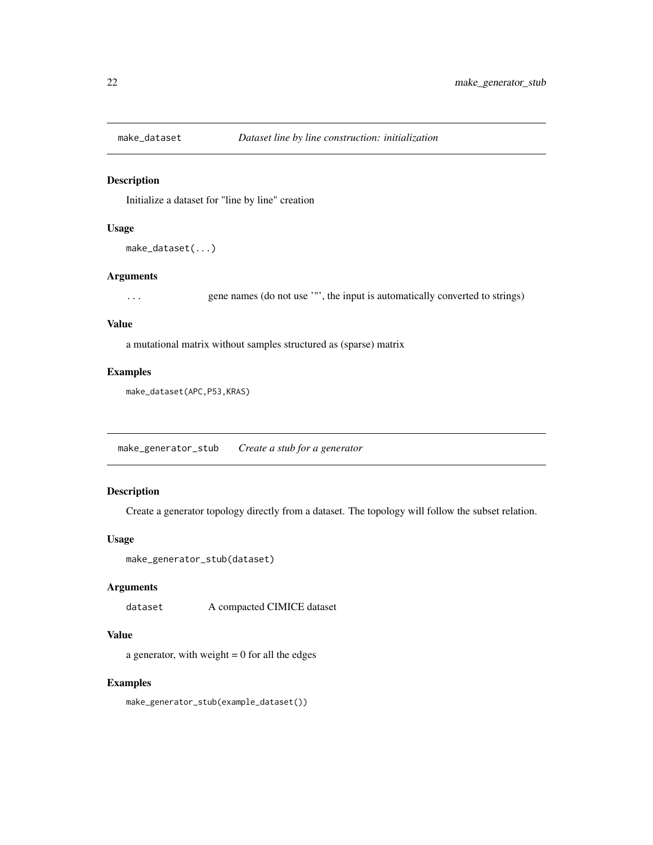<span id="page-21-0"></span>

#### Description

Initialize a dataset for "line by line" creation

#### Usage

```
make_dataset(...)
```
#### Arguments

... gene names (do not use '"', the input is automatically converted to strings)

#### Value

a mutational matrix without samples structured as (sparse) matrix

#### Examples

make\_dataset(APC,P53,KRAS)

make\_generator\_stub *Create a stub for a generator*

### Description

Create a generator topology directly from a dataset. The topology will follow the subset relation.

#### Usage

```
make_generator_stub(dataset)
```
#### Arguments

dataset A compacted CIMICE dataset

### Value

a generator, with weight  $= 0$  for all the edges

#### Examples

make\_generator\_stub(example\_dataset())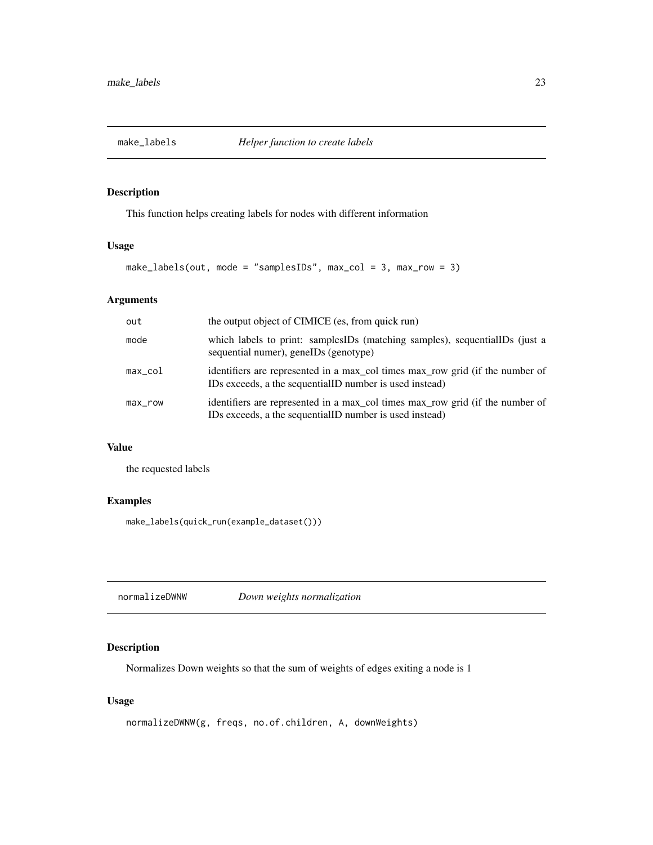<span id="page-22-0"></span>

### Description

This function helps creating labels for nodes with different information

### Usage

```
make_labels(out, mode = "samplesIDs", max_col = 3, max_row = 3)
```
### Arguments

| out        | the output object of CIMICE (es, from quick run)                                                                                         |
|------------|------------------------------------------------------------------------------------------------------------------------------------------|
| mode       | which labels to print: samplesIDs (matching samples), sequentialIDs (just a<br>sequential numer), geneIDs (genotype)                     |
| $max\_col$ | identifiers are represented in a max_col times max_row grid (if the number of<br>IDs exceeds, a the sequentialID number is used instead) |
| $max$ _row | identifiers are represented in a max col times max row grid (if the number of<br>IDs exceeds, a the sequentialID number is used instead) |

## Value

the requested labels

### Examples

make\_labels(quick\_run(example\_dataset()))

normalizeDWNW *Down weights normalization*

### Description

Normalizes Down weights so that the sum of weights of edges exiting a node is 1

#### Usage

```
normalizeDWNW(g, freqs, no.of.children, A, downWeights)
```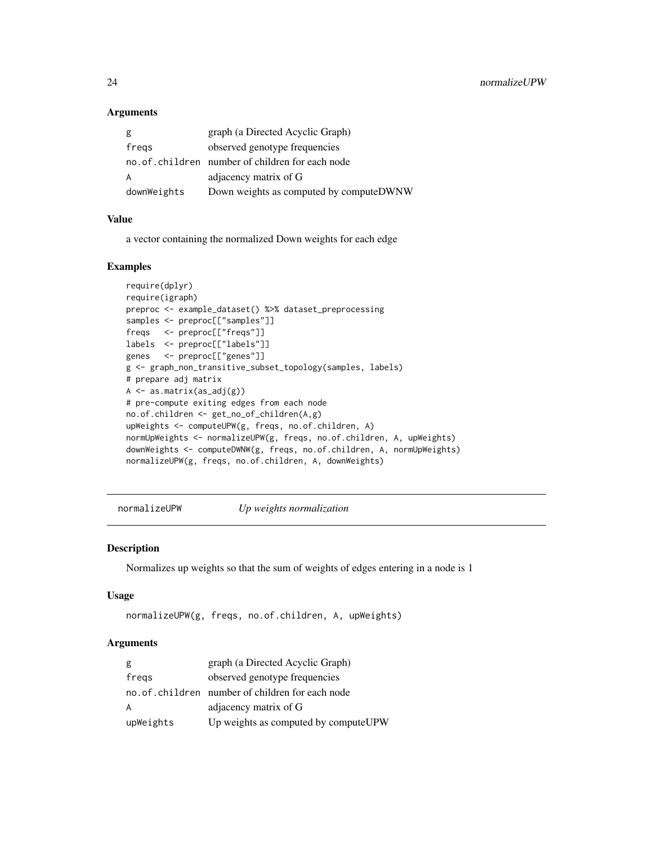#### Arguments

| g           | graph (a Directed Acyclic Graph)                |
|-------------|-------------------------------------------------|
| fregs       | observed genotype frequencies                   |
|             | no.of.children number of children for each node |
| A           | adjacency matrix of G                           |
| downWeights | Down weights as computed by computeDWNW         |

#### Value

a vector containing the normalized Down weights for each edge

#### Examples

```
require(dplyr)
require(igraph)
preproc <- example_dataset() %>% dataset_preprocessing
samples <- preproc[["samples"]]
freqs <- preproc[["freqs"]]
labels <- preproc[["labels"]]
genes <- preproc[["genes"]]
g <- graph_non_transitive_subset_topology(samples, labels)
# prepare adj matrix
A \leftarrow as.matrix(as_adj(g))# pre-compute exiting edges from each node
no.of.children <- get_no_of_children(A,g)
upWeights <- computeUPW(g, freqs, no.of.children, A)
normUpWeights <- normalizeUPW(g, freqs, no.of.children, A, upWeights)
downWeights <- computeDWNW(g, freqs, no.of.children, A, normUpWeights)
normalizeUPW(g, freqs, no.of.children, A, downWeights)
```
normalizeUPW *Up weights normalization*

#### Description

Normalizes up weights so that the sum of weights of edges entering in a node is 1

#### Usage

```
normalizeUPW(g, freqs, no.of.children, A, upWeights)
```
#### Arguments

| g         | graph (a Directed Acyclic Graph)                 |
|-----------|--------------------------------------------------|
| fregs     | observed genotype frequencies                    |
|           | no. of children number of children for each node |
| A         | adjacency matrix of G                            |
| upWeights | Up weights as computed by computeUPW             |

<span id="page-23-0"></span>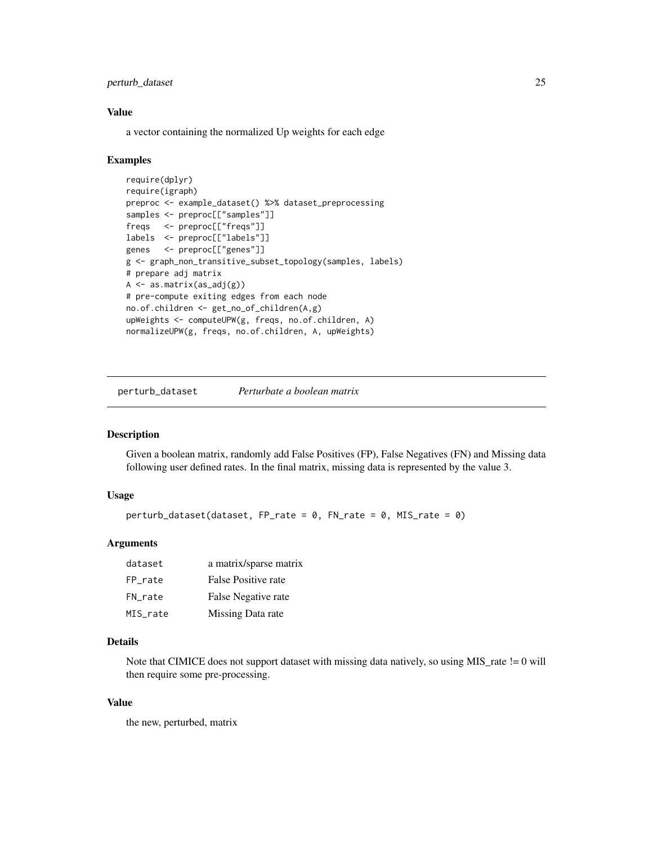### <span id="page-24-0"></span>perturb\_dataset 25

#### Value

a vector containing the normalized Up weights for each edge

#### Examples

```
require(dplyr)
require(igraph)
preproc <- example_dataset() %>% dataset_preprocessing
samples <- preproc[["samples"]]
freqs <- preproc[["freqs"]]
labels <- preproc[["labels"]]
genes <- preproc[["genes"]]
g <- graph_non_transitive_subset_topology(samples, labels)
# prepare adj matrix
A \leftarrow as.matrix(as_adj(g))# pre-compute exiting edges from each node
no.of.children <- get_no_of_children(A,g)
upWeights <- computeUPW(g, freqs, no.of.children, A)
normalizeUPW(g, freqs, no.of.children, A, upWeights)
```
perturb\_dataset *Perturbate a boolean matrix*

#### Description

Given a boolean matrix, randomly add False Positives (FP), False Negatives (FN) and Missing data following user defined rates. In the final matrix, missing data is represented by the value 3.

#### Usage

```
perturb_dataset(dataset, FP_rate = 0, FN_rate = 0, MIS_rate = 0)
```
#### Arguments

| dataset  | a matrix/sparse matrix |
|----------|------------------------|
| FP_rate  | False Positive rate    |
| FN rate  | False Negative rate    |
| MIS rate | Missing Data rate      |

### Details

Note that CIMICE does not support dataset with missing data natively, so using  $MIS$ <sub>rate</sub> != 0 will then require some pre-processing.

### Value

the new, perturbed, matrix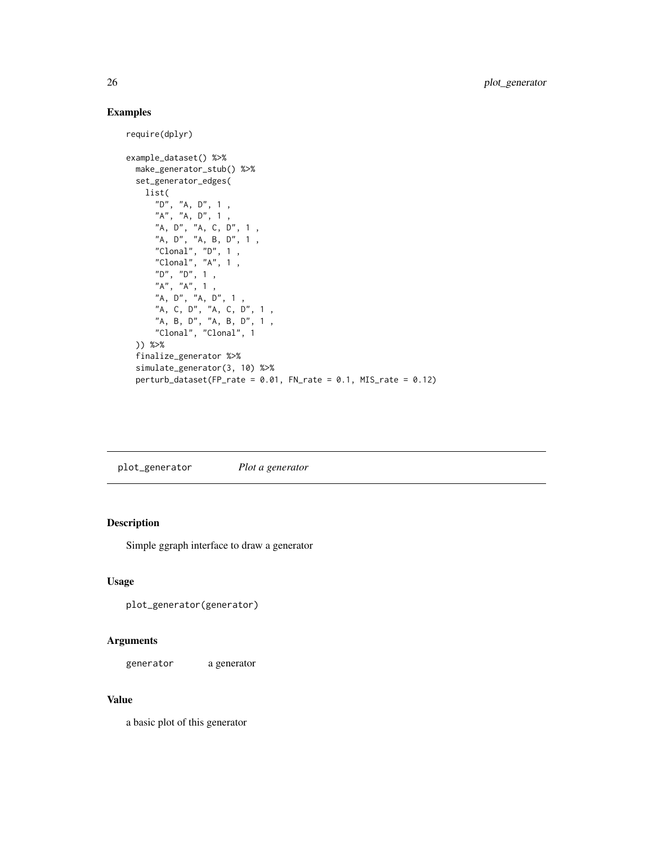```
require(dplyr)
example_dataset() %>%
  make_generator_stub() %>%
  set_generator_edges(
   list(
      "D", "A, D", 1 ,
      "A", "A, D", 1 ,
      "A, D", "A, C, D", 1 ,
      "A, D", "A, B, D", 1,
      "Clonal", "D", 1 ,
      "Clonal", "A", 1 ,
      "D", "D", 1 ,
      "A", "A", 1 ,
      "A, D", "A, D", 1 ,
      "A, C, D", "A, C, D", 1 ,
      "A, B, D", "A, B, D", 1 ,
      "Clonal", "Clonal", 1
  )) %>%
  finalize_generator %>%
  simulate_generator(3, 10) %>%
  perturb_dataset(FP_rate = 0.01, FN_rate = 0.1, MIS_rate = 0.12)
```
plot\_generator *Plot a generator*

### Description

Simple ggraph interface to draw a generator

#### Usage

```
plot_generator(generator)
```
#### Arguments

generator a generator

### Value

a basic plot of this generator

<span id="page-25-0"></span>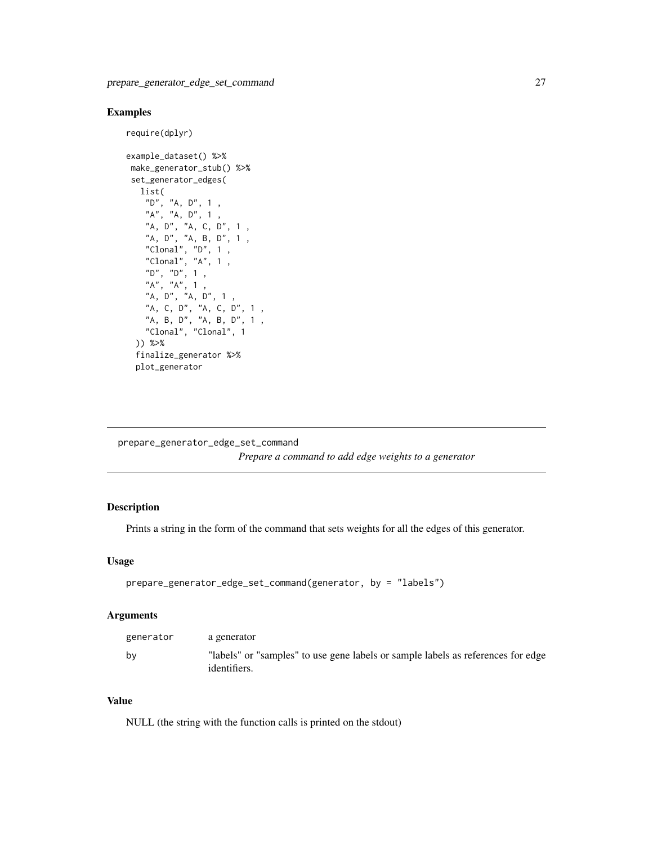<span id="page-26-0"></span>require(dplyr)

```
example_dataset() %>%
make_generator_stub() %>%
set_generator_edges(
  list(
    "D", "A, D", 1 ,
    "A", "A, D", 1 ,
    "A, D", "A, C, D", 1 ,
    "A, D", "A, B, D", 1 ,
    "Clonal", "D", 1","Clonal", "A", 1 ,
    "D", "D", 1 ,
    "A", "A", 1 ,
    "A, D", "A, D", 1 ,
    "A, C, D", "A, C, D", 1 ,
    "A, B, D", "A, B, D", 1 ,
    "Clonal", "Clonal", 1
 )) %>%
 finalize_generator %>%
 plot_generator
```
prepare\_generator\_edge\_set\_command

*Prepare a command to add edge weights to a generator*

### Description

Prints a string in the form of the command that sets weights for all the edges of this generator.

#### Usage

```
prepare_generator_edge_set_command(generator, by = "labels")
```
### Arguments

| generator | a generator                                                                                      |
|-----------|--------------------------------------------------------------------------------------------------|
| bv        | "labels" or "samples" to use gene labels or sample labels as references for edge<br>identifiers. |

#### Value

NULL (the string with the function calls is printed on the stdout)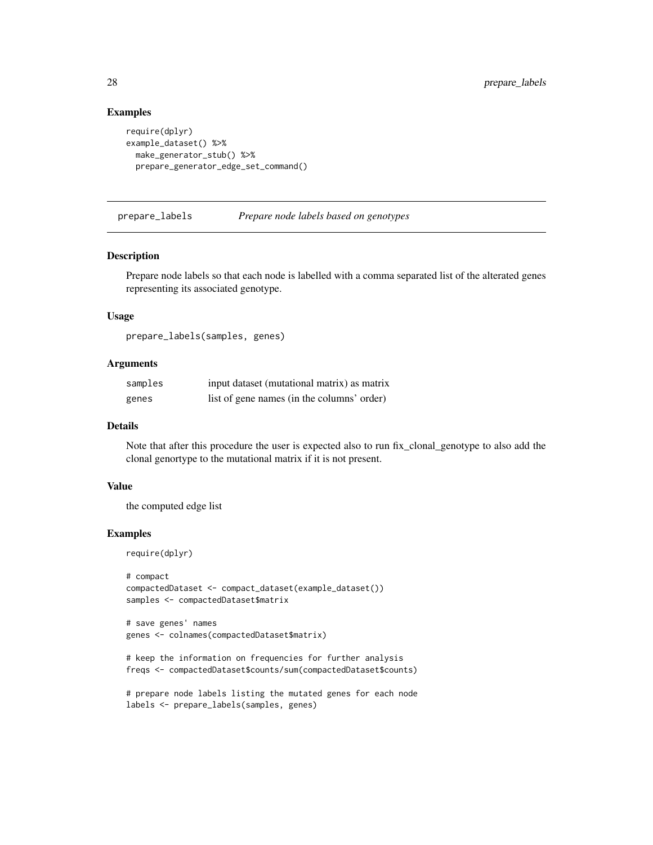```
require(dplyr)
example_dataset() %>%
  make_generator_stub() %>%
  prepare_generator_edge_set_command()
```
prepare\_labels *Prepare node labels based on genotypes*

#### Description

Prepare node labels so that each node is labelled with a comma separated list of the alterated genes representing its associated genotype.

### Usage

prepare\_labels(samples, genes)

### Arguments

| samples | input dataset (mutational matrix) as matrix |
|---------|---------------------------------------------|
| genes   | list of gene names (in the columns' order)  |

#### Details

Note that after this procedure the user is expected also to run fix\_clonal\_genotype to also add the clonal genortype to the mutational matrix if it is not present.

#### Value

the computed edge list

### Examples

require(dplyr)

```
# compact
compactedDataset <- compact_dataset(example_dataset())
samples <- compactedDataset$matrix
```

```
# save genes' names
genes <- colnames(compactedDataset$matrix)
```

```
# keep the information on frequencies for further analysis
freqs <- compactedDataset$counts/sum(compactedDataset$counts)
```

```
# prepare node labels listing the mutated genes for each node
labels <- prepare_labels(samples, genes)
```
<span id="page-27-0"></span>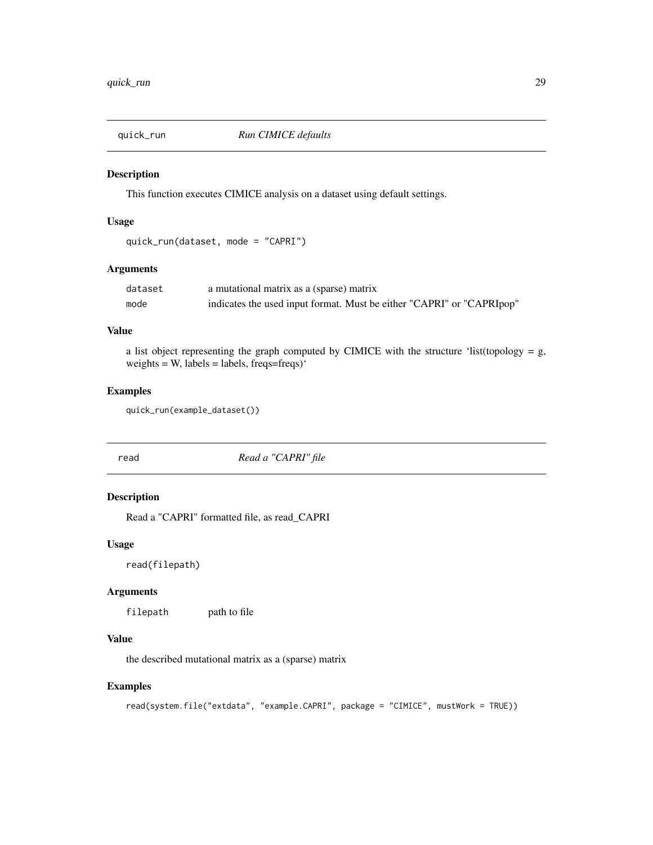<span id="page-28-0"></span>

#### Description

This function executes CIMICE analysis on a dataset using default settings.

#### Usage

```
quick_run(dataset, mode = "CAPRI")
```
### Arguments

| dataset | a mutational matrix as a (sparse) matrix                              |
|---------|-----------------------------------------------------------------------|
| mode    | indicates the used input format. Must be either "CAPRI" or "CAPRIpop" |

#### Value

a list object representing the graph computed by CIMICE with the structure 'list(topology =  $g$ , weights = W, labels = labels, freqs=freqs) $\cdot$ 

#### Examples

quick\_run(example\_dataset())

read *Read a "CAPRI" file*

### Description

Read a "CAPRI" formatted file, as read\_CAPRI

### Usage

read(filepath)

### Arguments

filepath path to file

### Value

the described mutational matrix as a (sparse) matrix

```
read(system.file("extdata", "example.CAPRI", package = "CIMICE", mustWork = TRUE))
```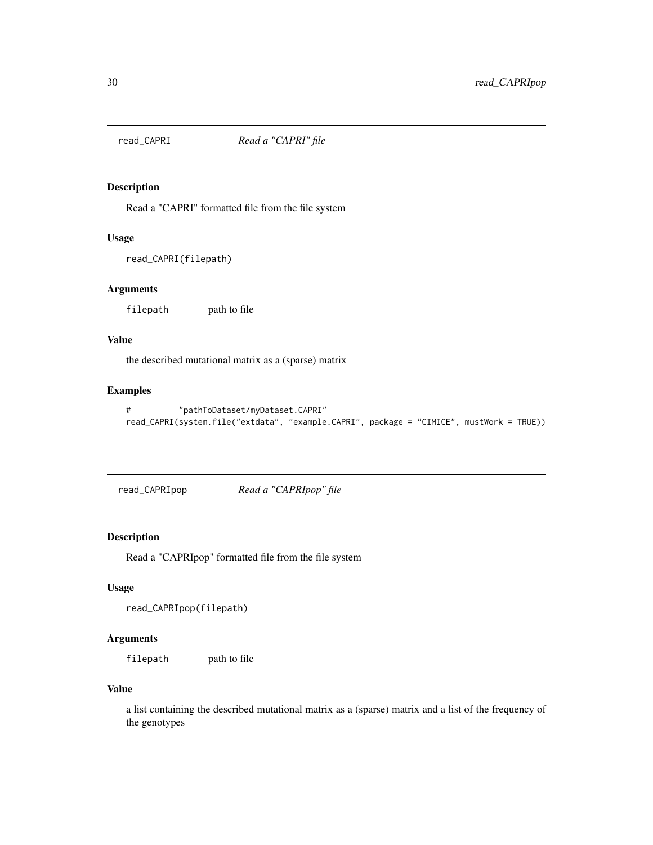<span id="page-29-0"></span>

### Description

Read a "CAPRI" formatted file from the file system

#### Usage

```
read_CAPRI(filepath)
```
#### Arguments

filepath path to file

### Value

the described mutational matrix as a (sparse) matrix

#### Examples

```
# "pathToDataset/myDataset.CAPRI"
read_CAPRI(system.file("extdata", "example.CAPRI", package = "CIMICE", mustWork = TRUE))
```
read\_CAPRIpop *Read a "CAPRIpop" file*

### Description

Read a "CAPRIpop" formatted file from the file system

#### Usage

```
read_CAPRIpop(filepath)
```
### Arguments

filepath path to file

### Value

a list containing the described mutational matrix as a (sparse) matrix and a list of the frequency of the genotypes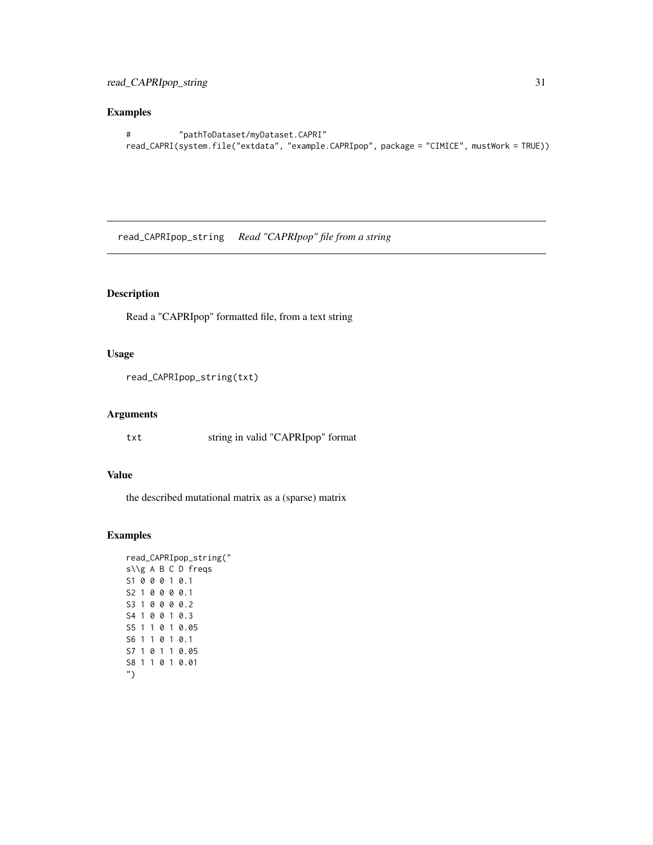```
# "pathToDataset/myDataset.CAPRI"
read_CAPRI(system.file("extdata", "example.CAPRIpop", package = "CIMICE", mustWork = TRUE))
```
read\_CAPRIpop\_string *Read "CAPRIpop" file from a string*

## Description

Read a "CAPRIpop" formatted file, from a text string

### Usage

```
read_CAPRIpop_string(txt)
```
#### Arguments

txt string in valid "CAPRIpop" format

### Value

the described mutational matrix as a (sparse) matrix

```
read_CAPRIpop_string("
s\\g A B C D freqs
S1 0 0 0 1 0.1
S2 1 0 0 0 0.1
S3 1 0 0 0 0.2
S4 1 0 0 1 0.3
S5 1 1 0 1 0.05
S6 1 1 0 1 0.1
S7 1 0 1 1 0.05
S8 1 1 0 1 0.01
")
```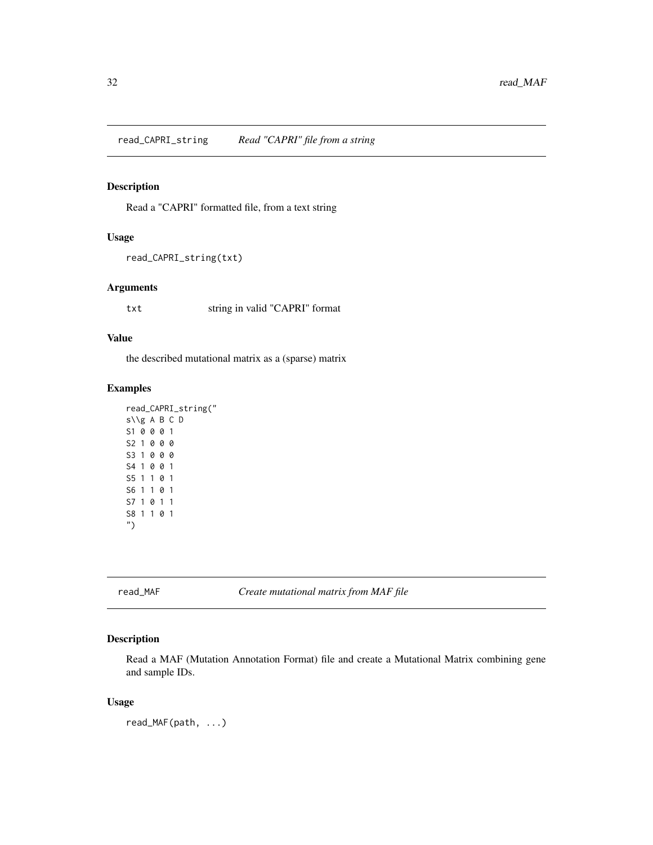<span id="page-31-0"></span>read\_CAPRI\_string *Read "CAPRI" file from a string*

### Description

Read a "CAPRI" formatted file, from a text string

#### Usage

```
read_CAPRI_string(txt)
```
#### Arguments

txt string in valid "CAPRI" format

#### Value

the described mutational matrix as a (sparse) matrix

#### Examples

```
read_CAPRI_string("
s\\g A B C D
S1 0 0 0 1
S2 1 0 0 0
S3 1 0 0 0
S4 1 0 0 1
S5 1 1 0 1
S6 1 1 0 1
S7 1 0 1 1
S8 1 1 0 1
")
```
read\_MAF *Create mutational matrix from MAF file*

#### Description

Read a MAF (Mutation Annotation Format) file and create a Mutational Matrix combining gene and sample IDs.

#### Usage

read\_MAF(path, ...)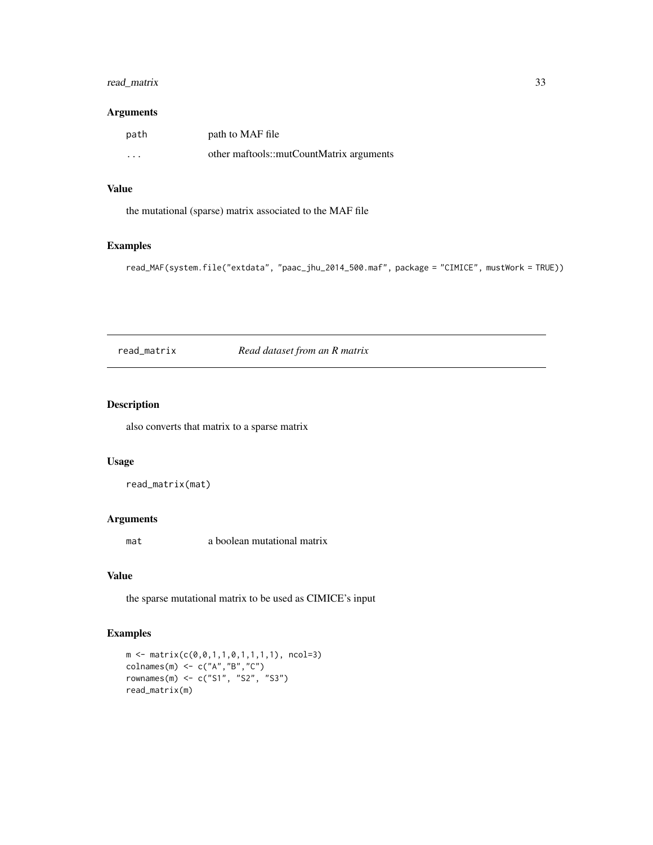### <span id="page-32-0"></span>read\_matrix 33

#### Arguments

| path     | path to MAF file                         |
|----------|------------------------------------------|
| $\cdots$ | other maftools::mutCountMatrix arguments |

### Value

the mutational (sparse) matrix associated to the MAF file

### Examples

```
read_MAF(system.file("extdata", "paac_jhu_2014_500.maf", package = "CIMICE", mustWork = TRUE))
```
read\_matrix *Read dataset from an R matrix*

### Description

also converts that matrix to a sparse matrix

#### Usage

read\_matrix(mat)

### Arguments

mat a boolean mutational matrix

### Value

the sparse mutational matrix to be used as CIMICE's input

```
m \leftarrow matrix(c(\emptyset, \emptyset, 1, 1, \emptyset, 1, 1, 1, 1), ncol=3)colnames(m) \leq c("A","B","C")
rownames(m) <- c("S1", "S2", "S3")
read_matrix(m)
```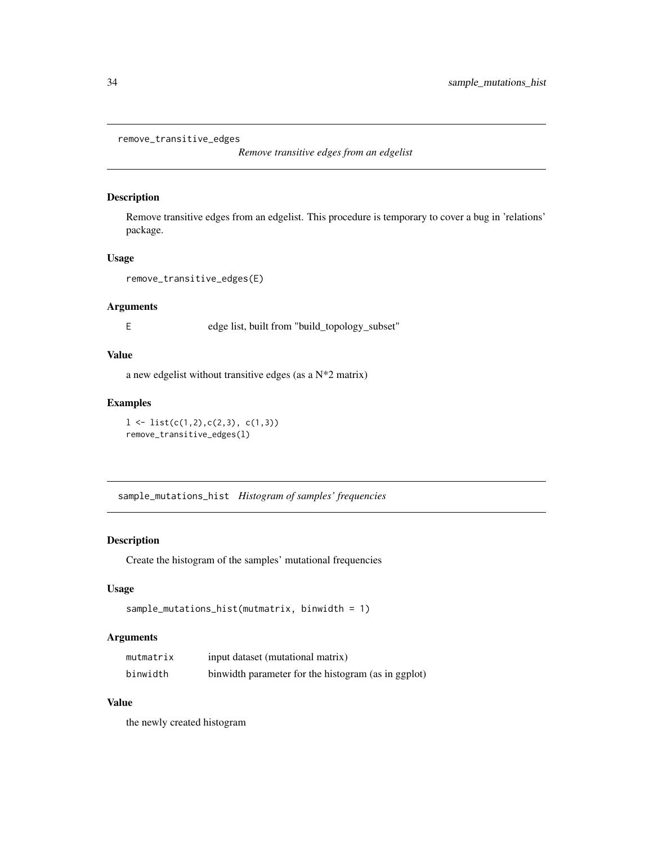```
remove_transitive_edges
```
*Remove transitive edges from an edgelist*

### Description

Remove transitive edges from an edgelist. This procedure is temporary to cover a bug in 'relations' package.

#### Usage

```
remove_transitive_edges(E)
```
### Arguments

E edge list, built from "build\_topology\_subset"

#### Value

a new edgelist without transitive edges (as a N\*2 matrix)

#### Examples

```
1 \leftarrow list(c(1,2),c(2,3), c(1,3))remove_transitive_edges(l)
```
sample\_mutations\_hist *Histogram of samples' frequencies*

#### Description

Create the histogram of the samples' mutational frequencies

#### Usage

```
sample_mutations_hist(mutmatrix, binwidth = 1)
```
#### Arguments

| mutmatrix | input dataset (mutational matrix)                   |
|-----------|-----------------------------------------------------|
| binwidth  | binwidth parameter for the histogram (as in ggplot) |

### Value

the newly created histogram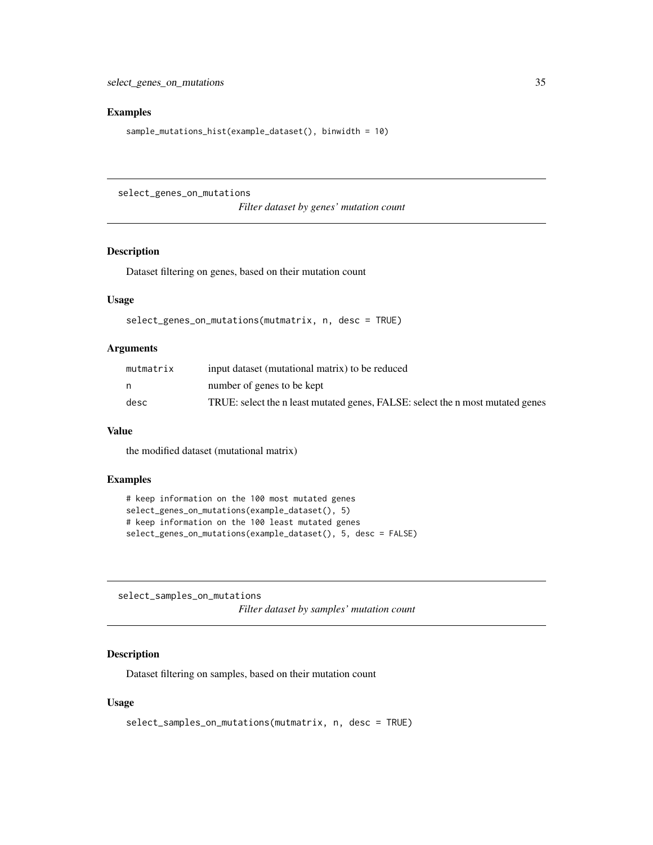```
sample_mutations_hist(example_dataset(), binwidth = 10)
```
select\_genes\_on\_mutations

*Filter dataset by genes' mutation count*

### Description

Dataset filtering on genes, based on their mutation count

### Usage

```
select_genes_on_mutations(mutmatrix, n, desc = TRUE)
```
#### Arguments

| mutmatrix | input dataset (mutational matrix) to be reduced                                |
|-----------|--------------------------------------------------------------------------------|
|           | number of genes to be kept                                                     |
| desc      | TRUE: select the n least mutated genes, FALSE: select the n most mutated genes |

#### Value

the modified dataset (mutational matrix)

#### Examples

```
# keep information on the 100 most mutated genes
select_genes_on_mutations(example_dataset(), 5)
# keep information on the 100 least mutated genes
select_genes_on_mutations(example_dataset(), 5, desc = FALSE)
```
select\_samples\_on\_mutations

*Filter dataset by samples' mutation count*

### Description

Dataset filtering on samples, based on their mutation count

#### Usage

```
select_samples_on_mutations(mutmatrix, n, desc = TRUE)
```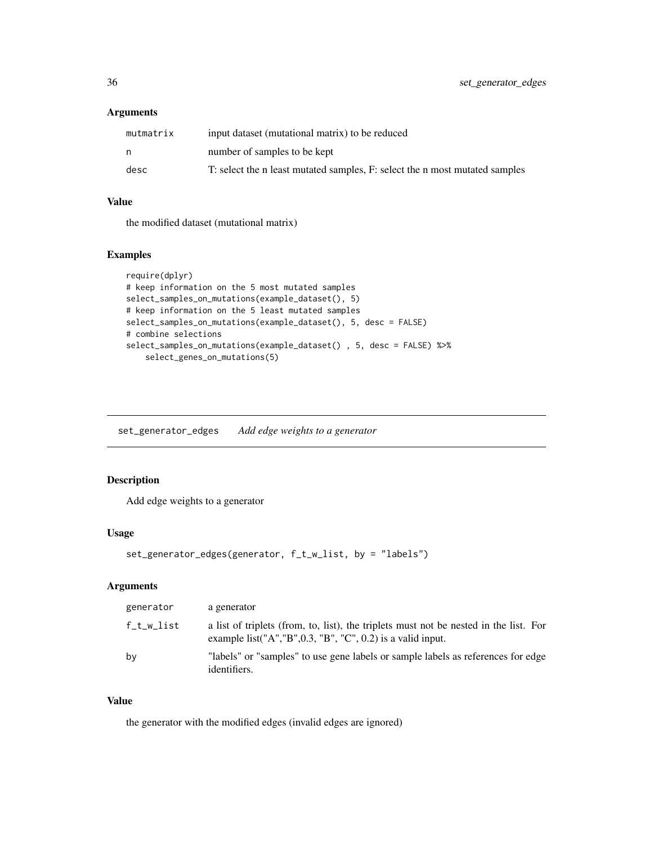### <span id="page-35-0"></span>Arguments

| mutmatrix | input dataset (mutational matrix) to be reduced                             |
|-----------|-----------------------------------------------------------------------------|
| n         | number of samples to be kept                                                |
| desc      | T: select the n least mutated samples, F: select the n most mutated samples |

### Value

the modified dataset (mutational matrix)

#### Examples

```
require(dplyr)
# keep information on the 5 most mutated samples
select_samples_on_mutations(example_dataset(), 5)
# keep information on the 5 least mutated samples
select_samples_on_mutations(example_dataset(), 5, desc = FALSE)
# combine selections
select_samples_on_mutations(example_dataset() , 5, desc = FALSE) %>%
    select_genes_on_mutations(5)
```
set\_generator\_edges *Add edge weights to a generator*

### Description

Add edge weights to a generator

#### Usage

```
set_generator_edges(generator, f_t_w_list, by = "labels")
```
### Arguments

| generator  | a generator                                                                                                                                                                 |
|------------|-----------------------------------------------------------------------------------------------------------------------------------------------------------------------------|
| f_t_w_list | a list of triplets (from, to, list), the triplets must not be nested in the list. For<br>example list(" $A$ ", " $B$ ", $0.3$ , " $B$ ", " $C$ ", $0.2$ ) is a valid input. |
| by         | "labels" or "samples" to use gene labels or sample labels as references for edge<br>identifiers.                                                                            |

#### Value

the generator with the modified edges (invalid edges are ignored)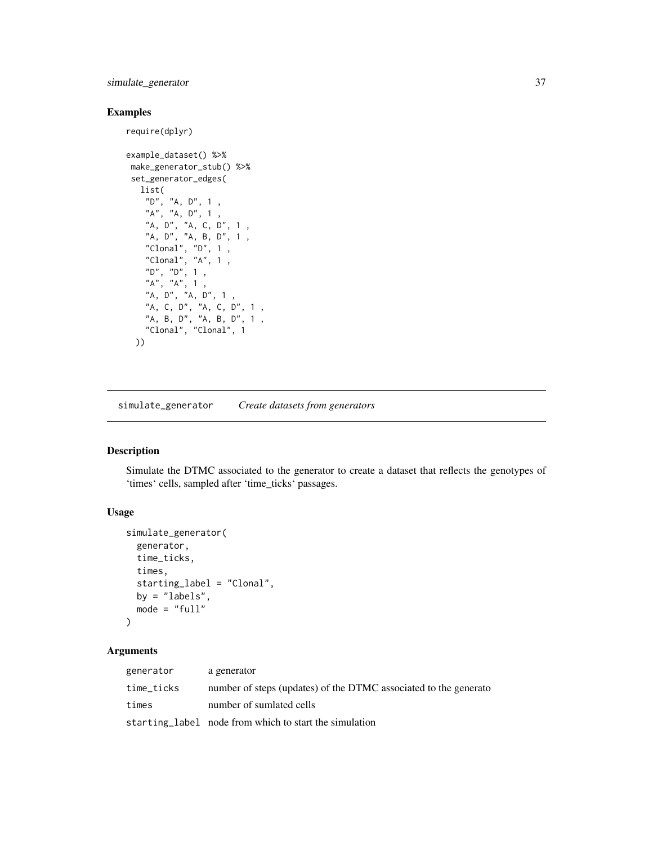### <span id="page-36-0"></span>simulate\_generator 37

### Examples

```
require(dplyr)
example_dataset() %>%
make_generator_stub() %>%
set_generator_edges(
  list(
    "D", "A, D", 1 ,
   "A", "A", D", 1","A, D", "A, C, D", 1 ,
    "A, D", "A, B, D", 1 ,
    "Clonal", "D", 1 ,
    "Clonal", "A", 1 ,
    "D", "D", 1 ,
```
"A", "A", 1 , "A, D", "A, D", 1 , "A, C, D", "A, C, D", 1 , "A, B, D", "A, B, D", 1, "Clonal", "Clonal", 1

simulate\_generator *Create datasets from generators*

#### Description

))

Simulate the DTMC associated to the generator to create a dataset that reflects the genotypes of 'times' cells, sampled after 'time\_ticks' passages.

#### Usage

```
simulate_generator(
  generator,
  time_ticks,
  times,
  starting_label = "Clonal",
 by = "labels",
  mode = "full")
```
### Arguments

| generator  | a generator                                                      |
|------------|------------------------------------------------------------------|
| time_ticks | number of steps (updates) of the DTMC associated to the generato |
| times      | number of sumlated cells                                         |
|            | starting label node from which to start the simulation           |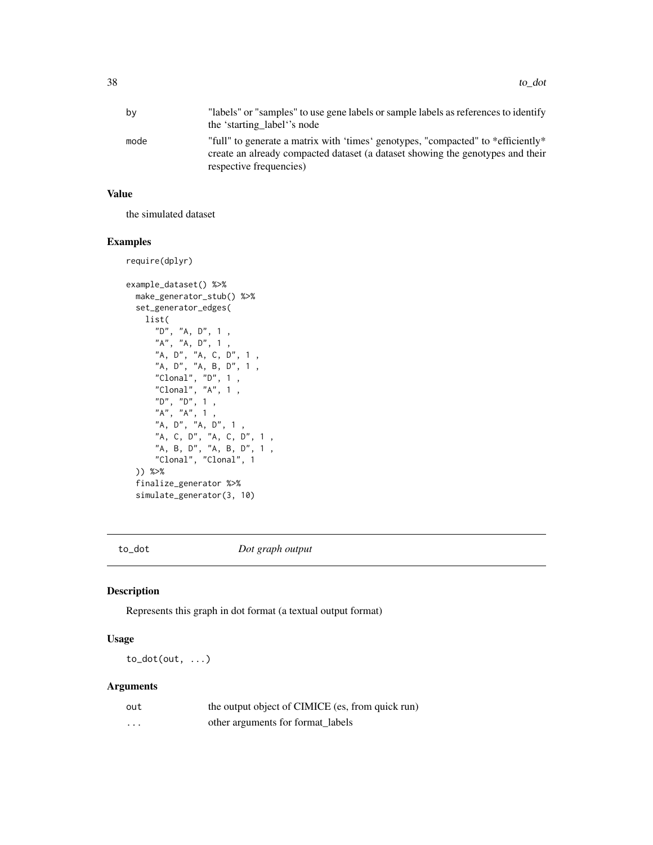<span id="page-37-0"></span>

| by   | "labels" or "samples" to use gene labels or sample labels as references to identify<br>the 'starting label''s node                                                                            |
|------|-----------------------------------------------------------------------------------------------------------------------------------------------------------------------------------------------|
| mode | "full" to generate a matrix with 'times' genotypes, "compacted" to *efficiently*<br>create an already compacted dataset (a dataset showing the genotypes and their<br>respective frequencies) |

### Value

the simulated dataset

#### Examples

```
require(dplyr)
example_dataset() %>%
 make_generator_stub() %>%
 set_generator_edges(
   list(
      "D", "A, D", 1 ,
      "A", "A, D", 1 ,
      "A, D", "A, C, D", 1 ,
      "A, D", "A, B, D", 1 ,
      "Clonal", "D", 1 ,
      "Clonal", "A", 1 ,
      "D", "D", 1 ,
      "A", "A", 1 ,
      "A, D", "A, D", 1 ,
      "A, C, D", "A, C, D", 1,
      "A, B, D", "A, B, D", 1,
      "Clonal", "Clonal", 1
 )) %>%
 finalize_generator %>%
 simulate_generator(3, 10)
```
to\_dot *Dot graph output*

### Description

Represents this graph in dot format (a textual output format)

### Usage

to\_dot(out, ...)

### Arguments

| out      | the output object of CIMICE (es, from quick run) |
|----------|--------------------------------------------------|
| $\cdots$ | other arguments for format_labels                |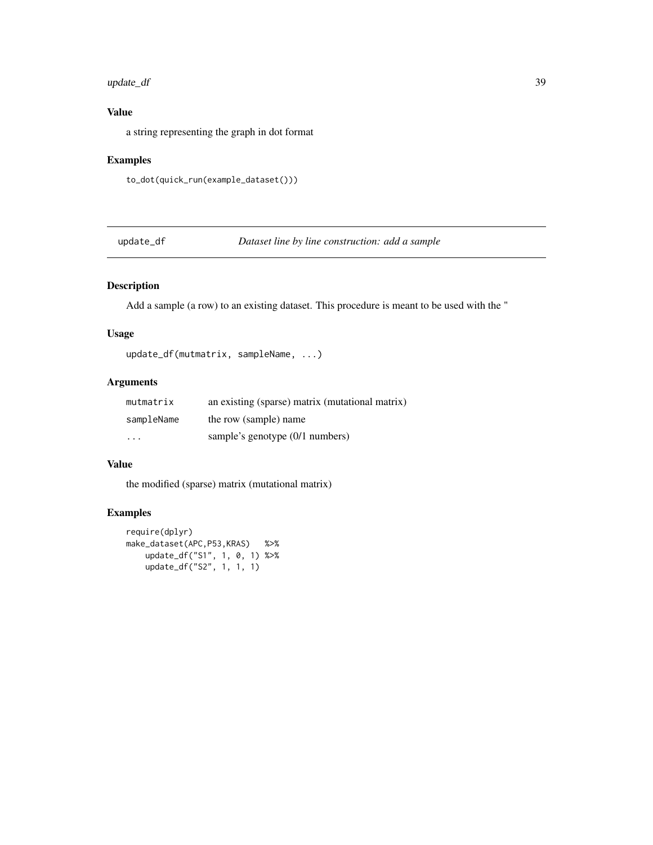### <span id="page-38-0"></span>update\_df 39

### Value

a string representing the graph in dot format

### Examples

```
to_dot(quick_run(example_dataset()))
```
update\_df *Dataset line by line construction: add a sample*

### Description

Add a sample (a row) to an existing dataset. This procedure is meant to be used with the "

### Usage

update\_df(mutmatrix, sampleName, ...)

### Arguments

| mutmatrix               | an existing (sparse) matrix (mutational matrix) |
|-------------------------|-------------------------------------------------|
| sampleName              | the row (sample) name                           |
| $\cdot$ $\cdot$ $\cdot$ | sample's genotype (0/1 numbers)                 |

### Value

the modified (sparse) matrix (mutational matrix)

```
require(dplyr)
make_dataset(APC,P53,KRAS) %>%
   update_df("S1", 1, 0, 1) %>%
   update_df("S2", 1, 1, 1)
```